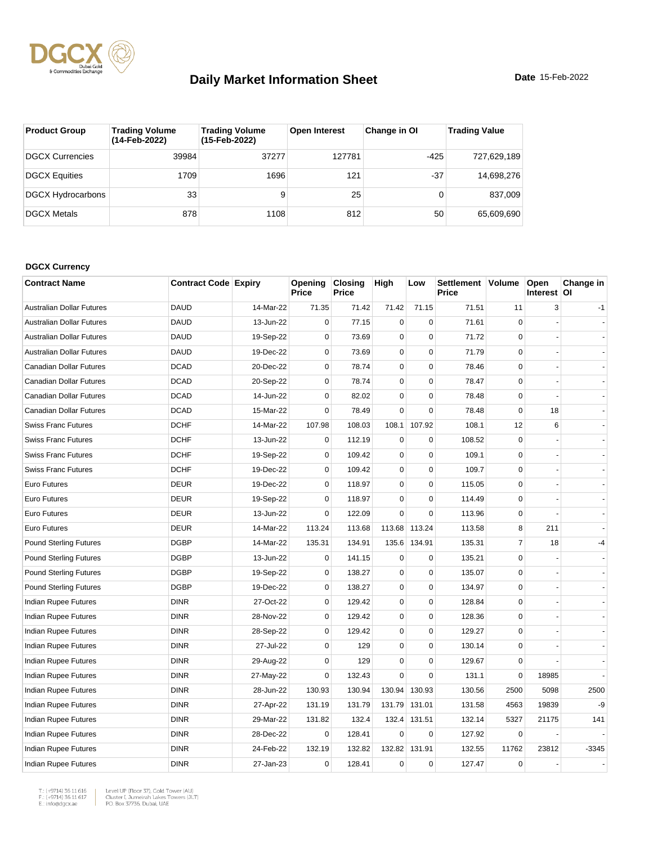

| <b>Product Group</b>     | <b>Trading Volume</b><br>(14-Feb-2022) | <b>Trading Volume</b><br>(15-Feb-2022) | <b>Open Interest</b> | Change in OI | <b>Trading Value</b> |
|--------------------------|----------------------------------------|----------------------------------------|----------------------|--------------|----------------------|
| <b>DGCX Currencies</b>   | 39984                                  | 37277                                  | 127781               | $-425$       | 727,629,189          |
| <b>DGCX Equities</b>     | 1709                                   | 1696                                   | 121                  | $-37$        | 14,698,276           |
| <b>DGCX Hydrocarbons</b> | 33                                     | 9                                      | 25                   |              | 837.009              |
| <b>DGCX Metals</b>       | 878                                    | 1108                                   | 812                  | 50           | 65.609.690           |

#### **DGCX Currency**

| <b>Contract Name</b>             | <b>Contract Code Expiry</b> |           | Opening<br>Price | <b>Closing</b><br>Price | High        | Low         | Settlement Volume<br>Price |                | Open<br>Interest OI | Change in |
|----------------------------------|-----------------------------|-----------|------------------|-------------------------|-------------|-------------|----------------------------|----------------|---------------------|-----------|
| <b>Australian Dollar Futures</b> | <b>DAUD</b>                 | 14-Mar-22 | 71.35            | 71.42                   | 71.42       | 71.15       | 71.51                      | 11             | 3                   | $-1$      |
| <b>Australian Dollar Futures</b> | <b>DAUD</b>                 | 13-Jun-22 | $\mathbf 0$      | 77.15                   | $\mathbf 0$ | $\Omega$    | 71.61                      | $\Omega$       |                     |           |
| <b>Australian Dollar Futures</b> | <b>DAUD</b>                 | 19-Sep-22 | $\mathbf 0$      | 73.69                   | $\mathbf 0$ | $\mathbf 0$ | 71.72                      | $\mathbf 0$    |                     |           |
| <b>Australian Dollar Futures</b> | <b>DAUD</b>                 | 19-Dec-22 | $\mathbf 0$      | 73.69                   | $\mathbf 0$ | $\mathbf 0$ | 71.79                      | $\mathbf 0$    |                     |           |
| Canadian Dollar Futures          | <b>DCAD</b>                 | 20-Dec-22 | $\mathbf 0$      | 78.74                   | $\pmb{0}$   | $\Omega$    | 78.46                      | $\Omega$       |                     |           |
| Canadian Dollar Futures          | <b>DCAD</b>                 | 20-Sep-22 | $\mathbf 0$      | 78.74                   | $\mathbf 0$ | $\pmb{0}$   | 78.47                      | $\mathbf 0$    |                     |           |
| Canadian Dollar Futures          | <b>DCAD</b>                 | 14-Jun-22 | $\mathbf 0$      | 82.02                   | $\mathbf 0$ | $\mathbf 0$ | 78.48                      | $\mathbf 0$    |                     |           |
| Canadian Dollar Futures          | <b>DCAD</b>                 | 15-Mar-22 | $\mathbf 0$      | 78.49                   | $\mathbf 0$ | $\mathbf 0$ | 78.48                      | $\mathbf 0$    | 18                  |           |
| <b>Swiss Franc Futures</b>       | <b>DCHF</b>                 | 14-Mar-22 | 107.98           | 108.03                  | 108.1       | 107.92      | 108.1                      | 12             | 6                   |           |
| <b>Swiss Franc Futures</b>       | <b>DCHF</b>                 | 13-Jun-22 | $\mathbf 0$      | 112.19                  | $\mathbf 0$ | $\mathbf 0$ | 108.52                     | $\Omega$       |                     |           |
| <b>Swiss Franc Futures</b>       | <b>DCHF</b>                 | 19-Sep-22 | $\mathbf 0$      | 109.42                  | $\mathbf 0$ | $\mathbf 0$ | 109.1                      | $\mathbf 0$    |                     |           |
| <b>Swiss Franc Futures</b>       | <b>DCHF</b>                 | 19-Dec-22 | $\mathbf 0$      | 109.42                  | $\mathbf 0$ | $\mathbf 0$ | 109.7                      | $\mathbf 0$    |                     |           |
| Euro Futures                     | <b>DEUR</b>                 | 19-Dec-22 | $\mathbf 0$      | 118.97                  | $\mathbf 0$ | $\mathbf 0$ | 115.05                     | $\mathbf 0$    |                     |           |
| Euro Futures                     | <b>DEUR</b>                 | 19-Sep-22 | $\mathbf 0$      | 118.97                  | $\pmb{0}$   | $\pmb{0}$   | 114.49                     | $\Omega$       |                     |           |
| <b>Euro Futures</b>              | <b>DEUR</b>                 | 13-Jun-22 | $\mathbf 0$      | 122.09                  | $\Omega$    | $\mathbf 0$ | 113.96                     | $\Omega$       |                     |           |
| <b>Euro Futures</b>              | <b>DEUR</b>                 | 14-Mar-22 | 113.24           | 113.68                  | 113.68      | 113.24      | 113.58                     | 8              | 211                 |           |
| <b>Pound Sterling Futures</b>    | <b>DGBP</b>                 | 14-Mar-22 | 135.31           | 134.91                  | 135.6       | 134.91      | 135.31                     | $\overline{7}$ | 18                  | -4        |
| <b>Pound Sterling Futures</b>    | <b>DGBP</b>                 | 13-Jun-22 | $\mathbf 0$      | 141.15                  | $\pmb{0}$   | $\mathbf 0$ | 135.21                     | $\Omega$       |                     |           |
| <b>Pound Sterling Futures</b>    | <b>DGBP</b>                 | 19-Sep-22 | $\mathbf 0$      | 138.27                  | $\pmb{0}$   | $\pmb{0}$   | 135.07                     | $\mathbf 0$    |                     |           |
| <b>Pound Sterling Futures</b>    | <b>DGBP</b>                 | 19-Dec-22 | $\mathbf 0$      | 138.27                  | 0           | $\mathbf 0$ | 134.97                     | $\mathbf 0$    |                     |           |
| Indian Rupee Futures             | <b>DINR</b>                 | 27-Oct-22 | $\mathbf 0$      | 129.42                  | $\pmb{0}$   | $\mathbf 0$ | 128.84                     | $\mathbf 0$    |                     |           |
| Indian Rupee Futures             | <b>DINR</b>                 | 28-Nov-22 | 0                | 129.42                  | $\pmb{0}$   | 0           | 128.36                     | $\Omega$       |                     |           |
| Indian Rupee Futures             | <b>DINR</b>                 | 28-Sep-22 | $\mathbf 0$      | 129.42                  | $\mathbf 0$ | $\mathbf 0$ | 129.27                     | $\Omega$       |                     |           |
| Indian Rupee Futures             | <b>DINR</b>                 | 27-Jul-22 | $\mathbf 0$      | 129                     | $\mathbf 0$ | $\mathbf 0$ | 130.14                     | $\mathbf 0$    |                     |           |
| <b>Indian Rupee Futures</b>      | <b>DINR</b>                 | 29-Aug-22 | $\mathbf 0$      | 129                     | $\mathbf 0$ | $\mathbf 0$ | 129.67                     | 0              |                     |           |
| Indian Rupee Futures             | <b>DINR</b>                 | 27-May-22 | $\mathbf 0$      | 132.43                  | $\mathbf 0$ | $\mathbf 0$ | 131.1                      | $\mathbf 0$    | 18985               |           |
| Indian Rupee Futures             | <b>DINR</b>                 | 28-Jun-22 | 130.93           | 130.94                  | 130.94      | 130.93      | 130.56                     | 2500           | 5098                | 2500      |
| <b>Indian Rupee Futures</b>      | <b>DINR</b>                 | 27-Apr-22 | 131.19           | 131.79                  | 131.79      | 131.01      | 131.58                     | 4563           | 19839               | -9        |
| Indian Rupee Futures             | <b>DINR</b>                 | 29-Mar-22 | 131.82           | 132.4                   | 132.4       | 131.51      | 132.14                     | 5327           | 21175               | 141       |
| Indian Rupee Futures             | <b>DINR</b>                 | 28-Dec-22 | $\mathbf 0$      | 128.41                  | $\mathbf 0$ | $\mathbf 0$ | 127.92                     | 0              |                     |           |
| Indian Rupee Futures             | <b>DINR</b>                 | 24-Feb-22 | 132.19           | 132.82                  | 132.82      | 131.91      | 132.55                     | 11762          | 23812               | $-3345$   |
| Indian Rupee Futures             | <b>DINR</b>                 | 27-Jan-23 | $\mathbf 0$      | 128.41                  | $\mathbf 0$ | $\mathbf 0$ | 127.47                     | $\mathbf 0$    |                     |           |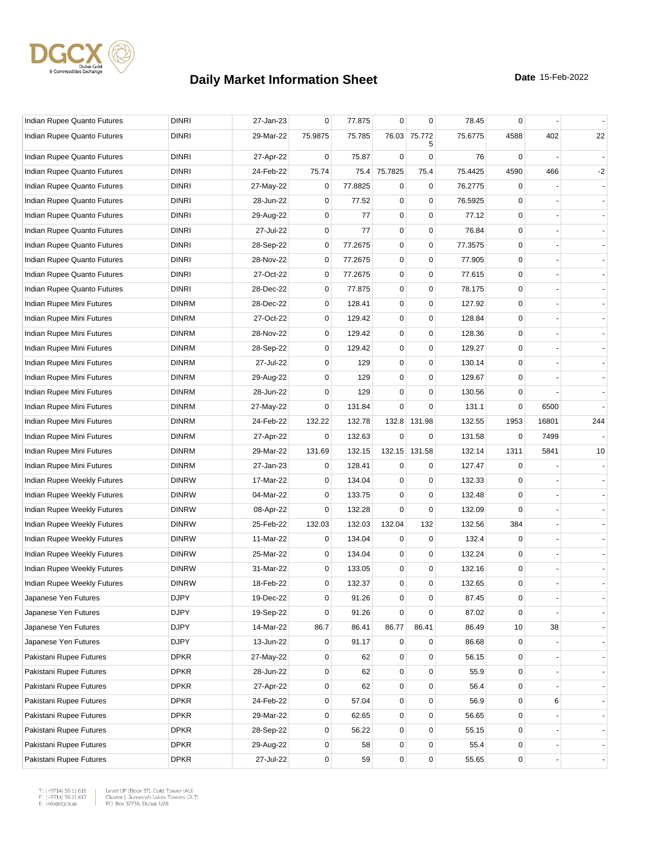

| Indian Rupee Quanto Futures | <b>DINRI</b> | 27-Jan-23 | 0           | 77.875  | $\mathbf 0$ | 0                 | 78.45   | $\mathbf 0$ |       |                |
|-----------------------------|--------------|-----------|-------------|---------|-------------|-------------------|---------|-------------|-------|----------------|
| Indian Rupee Quanto Futures | <b>DINRI</b> | 29-Mar-22 | 75.9875     | 75.785  |             | 76.03 75.772<br>5 | 75.6775 | 4588        | 402   | 22             |
| Indian Rupee Quanto Futures | <b>DINRI</b> | 27-Apr-22 | 0           | 75.87   | $\mathbf 0$ | 0                 | 76      | 0           |       |                |
| Indian Rupee Quanto Futures | <b>DINRI</b> | 24-Feb-22 | 75.74       | 75.4    | 75.7825     | 75.4              | 75.4425 | 4590        | 466   | $-2$           |
| Indian Rupee Quanto Futures | <b>DINRI</b> | 27-May-22 | 0           | 77.8825 | $\mathbf 0$ | $\mathbf 0$       | 76.2775 | 0           |       |                |
| Indian Rupee Quanto Futures | <b>DINRI</b> | 28-Jun-22 | $\mathbf 0$ | 77.52   | $\mathbf 0$ | $\mathbf 0$       | 76.5925 | 0           |       |                |
| Indian Rupee Quanto Futures | <b>DINRI</b> | 29-Aug-22 | 0           | 77      | $\mathbf 0$ | $\mathbf 0$       | 77.12   | 0           |       |                |
| Indian Rupee Quanto Futures | <b>DINRI</b> | 27-Jul-22 | 0           | 77      | $\pmb{0}$   | $\pmb{0}$         | 76.84   | 0           |       |                |
| Indian Rupee Quanto Futures | <b>DINRI</b> | 28-Sep-22 | 0           | 77.2675 | $\pmb{0}$   | $\mathbf 0$       | 77.3575 | 0           |       |                |
| Indian Rupee Quanto Futures | <b>DINRI</b> | 28-Nov-22 | $\mathbf 0$ | 77.2675 | $\mathbf 0$ | 0                 | 77.905  | $\mathbf 0$ |       |                |
| Indian Rupee Quanto Futures | <b>DINRI</b> | 27-Oct-22 | $\mathbf 0$ | 77.2675 | $\mathbf 0$ | $\pmb{0}$         | 77.615  | $\mathbf 0$ |       |                |
| Indian Rupee Quanto Futures | <b>DINRI</b> | 28-Dec-22 | 0           | 77.875  | $\mathbf 0$ | $\mathbf 0$       | 78.175  | 0           |       |                |
| Indian Rupee Mini Futures   | <b>DINRM</b> | 28-Dec-22 | $\mathbf 0$ | 128.41  | $\mathbf 0$ | 0                 | 127.92  | $\mathbf 0$ |       |                |
| Indian Rupee Mini Futures   | <b>DINRM</b> | 27-Oct-22 | $\mathbf 0$ | 129.42  | $\mathbf 0$ | $\mathbf 0$       | 128.84  | 0           |       |                |
| Indian Rupee Mini Futures   | <b>DINRM</b> | 28-Nov-22 | $\mathbf 0$ | 129.42  | $\mathbf 0$ | $\mathbf 0$       | 128.36  | 0           |       |                |
| Indian Rupee Mini Futures   | <b>DINRM</b> | 28-Sep-22 | $\mathbf 0$ | 129.42  | $\mathbf 0$ | 0                 | 129.27  | $\mathbf 0$ |       |                |
| Indian Rupee Mini Futures   | <b>DINRM</b> | 27-Jul-22 | 0           | 129     | $\mathbf 0$ | 0                 | 130.14  | $\mathbf 0$ |       |                |
| Indian Rupee Mini Futures   | <b>DINRM</b> | 29-Aug-22 | 0           | 129     | $\mathbf 0$ | $\mathbf 0$       | 129.67  | 0           |       |                |
| Indian Rupee Mini Futures   | <b>DINRM</b> | 28-Jun-22 | 0           | 129     | 0           | $\mathbf 0$       | 130.56  | 0           |       |                |
| Indian Rupee Mini Futures   | <b>DINRM</b> | 27-May-22 | 0           | 131.84  | $\Omega$    | 0                 | 131.1   | $\mathbf 0$ | 6500  |                |
| Indian Rupee Mini Futures   | <b>DINRM</b> | 24-Feb-22 | 132.22      | 132.78  | 132.8       | 131.98            | 132.55  | 1953        | 16801 | 244            |
| Indian Rupee Mini Futures   | <b>DINRM</b> | 27-Apr-22 | 0           | 132.63  | $\mathbf 0$ | 0                 | 131.58  | 0           | 7499  |                |
| Indian Rupee Mini Futures   | <b>DINRM</b> | 29-Mar-22 | 131.69      | 132.15  |             | 132.15 131.58     | 132.14  | 1311        | 5841  | 10             |
| Indian Rupee Mini Futures   | <b>DINRM</b> | 27-Jan-23 | 0           | 128.41  | 0           | 0                 | 127.47  | 0           |       |                |
| Indian Rupee Weekly Futures | <b>DINRW</b> | 17-Mar-22 | 0           | 134.04  | $\mathbf 0$ | $\mathbf 0$       | 132.33  | 0           |       |                |
| Indian Rupee Weekly Futures | <b>DINRW</b> | 04-Mar-22 | $\mathbf 0$ | 133.75  | $\mathbf 0$ | $\mathbf 0$       | 132.48  | $\mathbf 0$ |       |                |
| Indian Rupee Weekly Futures | <b>DINRW</b> | 08-Apr-22 | 0           | 132.28  | $\mathbf 0$ | $\mathbf 0$       | 132.09  | $\Omega$    |       |                |
| Indian Rupee Weekly Futures | <b>DINRW</b> | 25-Feb-22 | 132.03      | 132.03  | 132.04      | 132               | 132.56  | 384         |       |                |
| Indian Rupee Weekly Futures | <b>DINRW</b> | 11-Mar-22 | 0           | 134.04  | 0           | 0                 | 132.4   | 0           |       |                |
| Indian Rupee Weekly Futures | <b>DINRW</b> | 25-Mar-22 | $\mathbf 0$ | 134.04  | $\mathbf 0$ | $\mathbf 0$       | 132.24  | 0           |       |                |
| Indian Rupee Weekly Futures | <b>DINRW</b> | 31-Mar-22 | $\mathbf 0$ | 133.05  | $\mathbf 0$ | $\mathbf 0$       | 132.16  | 0           |       |                |
| Indian Rupee Weekly Futures | <b>DINRW</b> | 18-Feb-22 | $\mathbf 0$ | 132.37  | $\mathbf 0$ | 0                 | 132.65  | $\mathbf 0$ |       |                |
| Japanese Yen Futures        | <b>DJPY</b>  | 19-Dec-22 | 0           | 91.26   | 0           | 0                 | 87.45   | 0           |       |                |
| Japanese Yen Futures        | <b>DJPY</b>  | 19-Sep-22 | 0           | 91.26   | $\mathbf 0$ | $\mathbf 0$       | 87.02   | $\mathbf 0$ |       | $\blacksquare$ |
| Japanese Yen Futures        | <b>DJPY</b>  | 14-Mar-22 | 86.7        | 86.41   | 86.77       | 86.41             | 86.49   | 10          | 38    |                |
| Japanese Yen Futures        | <b>DJPY</b>  | 13-Jun-22 | $\mathbf 0$ | 91.17   | $\mathbf 0$ | $\mathbf 0$       | 86.68   | $\mathbf 0$ |       |                |
| Pakistani Rupee Futures     | <b>DPKR</b>  | 27-May-22 | 0           | 62      | $\mathbf 0$ | $\mathbf 0$       | 56.15   | $\mathbf 0$ |       | $\blacksquare$ |
| Pakistani Rupee Futures     | <b>DPKR</b>  | 28-Jun-22 | $\mathbf 0$ | 62      | $\mathbf 0$ | $\mathsf 0$       | 55.9    | 0           |       | $\blacksquare$ |
| Pakistani Rupee Futures     | <b>DPKR</b>  | 27-Apr-22 | 0           | 62      | $\pmb{0}$   | 0                 | 56.4    | 0           |       |                |
| Pakistani Rupee Futures     | <b>DPKR</b>  | 24-Feb-22 | 0           | 57.04   | $\mathbf 0$ | $\pmb{0}$         | 56.9    | $\mathbf 0$ | 6     |                |
| Pakistani Rupee Futures     | <b>DPKR</b>  | 29-Mar-22 | 0           | 62.65   | $\mathbf 0$ | $\mathbf 0$       | 56.65   | 0           |       |                |
| Pakistani Rupee Futures     | <b>DPKR</b>  | 28-Sep-22 | $\mathbf 0$ | 56.22   | 0           | 0                 | 55.15   | 0           |       |                |
| Pakistani Rupee Futures     | <b>DPKR</b>  | 29-Aug-22 | 0           | 58      | 0           | 0                 | 55.4    | $\mathbf 0$ |       |                |
| Pakistani Rupee Futures     | <b>DPKR</b>  | 27-Jul-22 | 0           | 59      | $\pmb{0}$   | $\pmb{0}$         | 55.65   | $\pmb{0}$   |       |                |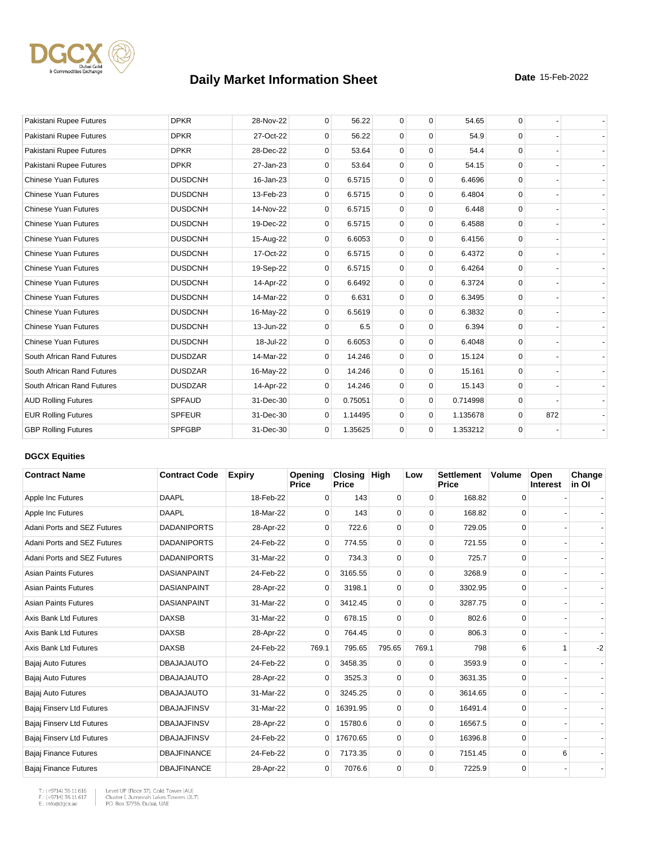

| Pakistani Rupee Futures     | <b>DPKR</b>    | 28-Nov-22 | $\mathbf 0$  | 56.22   | $\mathbf 0$ | $\mathbf 0$ | 54.65    | 0        |     |  |
|-----------------------------|----------------|-----------|--------------|---------|-------------|-------------|----------|----------|-----|--|
| Pakistani Rupee Futures     | <b>DPKR</b>    | 27-Oct-22 | $\Omega$     | 56.22   | $\mathbf 0$ | $\Omega$    | 54.9     | $\Omega$ |     |  |
| Pakistani Rupee Futures     | <b>DPKR</b>    | 28-Dec-22 | $\mathbf 0$  | 53.64   | $\mathbf 0$ | $\mathbf 0$ | 54.4     | $\Omega$ |     |  |
| Pakistani Rupee Futures     | <b>DPKR</b>    | 27-Jan-23 | 0            | 53.64   | $\mathbf 0$ | $\mathbf 0$ | 54.15    | $\Omega$ |     |  |
| <b>Chinese Yuan Futures</b> | <b>DUSDCNH</b> | 16-Jan-23 | $\mathbf{0}$ | 6.5715  | $\mathbf 0$ | $\mathbf 0$ | 6.4696   | $\Omega$ |     |  |
| <b>Chinese Yuan Futures</b> | <b>DUSDCNH</b> | 13-Feb-23 | 0            | 6.5715  | $\mathbf 0$ | $\mathbf 0$ | 6.4804   | $\Omega$ |     |  |
| <b>Chinese Yuan Futures</b> | <b>DUSDCNH</b> | 14-Nov-22 | 0            | 6.5715  | $\mathbf 0$ | $\mathbf 0$ | 6.448    | $\Omega$ |     |  |
| <b>Chinese Yuan Futures</b> | <b>DUSDCNH</b> | 19-Dec-22 | $\mathbf{0}$ | 6.5715  | $\mathbf 0$ | $\mathbf 0$ | 6.4588   | $\Omega$ |     |  |
| <b>Chinese Yuan Futures</b> | <b>DUSDCNH</b> | 15-Aug-22 | 0            | 6.6053  | $\mathbf 0$ | $\Omega$    | 6.4156   | $\Omega$ |     |  |
| <b>Chinese Yuan Futures</b> | <b>DUSDCNH</b> | 17-Oct-22 | $\mathbf{0}$ | 6.5715  | $\mathbf 0$ | $\mathbf 0$ | 6.4372   | $\Omega$ |     |  |
| <b>Chinese Yuan Futures</b> | <b>DUSDCNH</b> | 19-Sep-22 | 0            | 6.5715  | $\mathbf 0$ | $\mathbf 0$ | 6.4264   | $\Omega$ |     |  |
| <b>Chinese Yuan Futures</b> | <b>DUSDCNH</b> | 14-Apr-22 | 0            | 6.6492  | $\mathbf 0$ | $\mathbf 0$ | 6.3724   | $\Omega$ |     |  |
| <b>Chinese Yuan Futures</b> | <b>DUSDCNH</b> | 14-Mar-22 | 0            | 6.631   | $\mathbf 0$ | $\mathbf 0$ | 6.3495   | $\Omega$ |     |  |
| <b>Chinese Yuan Futures</b> | <b>DUSDCNH</b> | 16-May-22 | 0            | 6.5619  | $\mathbf 0$ | $\mathbf 0$ | 6.3832   | $\Omega$ |     |  |
| <b>Chinese Yuan Futures</b> | <b>DUSDCNH</b> | 13-Jun-22 | $\Omega$     | 6.5     | $\mathbf 0$ | $\mathbf 0$ | 6.394    | $\Omega$ |     |  |
| <b>Chinese Yuan Futures</b> | <b>DUSDCNH</b> | 18-Jul-22 | 0            | 6.6053  | $\mathbf 0$ | $\Omega$    | 6.4048   | $\Omega$ |     |  |
| South African Rand Futures  | <b>DUSDZAR</b> | 14-Mar-22 | 0            | 14.246  | $\mathbf 0$ | $\mathbf 0$ | 15.124   | $\Omega$ |     |  |
| South African Rand Futures  | <b>DUSDZAR</b> | 16-May-22 | $\mathbf 0$  | 14.246  | $\mathbf 0$ | $\mathbf 0$ | 15.161   | $\Omega$ |     |  |
| South African Rand Futures  | <b>DUSDZAR</b> | 14-Apr-22 | $\Omega$     | 14.246  | $\mathbf 0$ | $\mathbf 0$ | 15.143   | $\Omega$ |     |  |
| <b>AUD Rolling Futures</b>  | <b>SPFAUD</b>  | 31-Dec-30 | $\mathbf 0$  | 0.75051 | $\mathbf 0$ | $\mathbf 0$ | 0.714998 | $\Omega$ |     |  |
| <b>EUR Rolling Futures</b>  | <b>SPFEUR</b>  | 31-Dec-30 | $\Omega$     | 1.14495 | $\mathbf 0$ | $\mathbf 0$ | 1.135678 | $\Omega$ | 872 |  |
| <b>GBP Rolling Futures</b>  | <b>SPFGBP</b>  | 31-Dec-30 | $\mathbf{0}$ | 1.35625 | $\mathbf 0$ | $\mathbf 0$ | 1.353212 | $\Omega$ |     |  |

#### **DGCX Equities**

| <b>Contract Name</b>         | <b>Contract Code</b> | <b>Expiry</b> | Opening<br><b>Price</b> | Closing<br><b>Price</b> | <b>High</b> | Low         | <b>Settlement</b><br>Price | <b>Volume</b> | Open<br><b>Interest</b> | Change<br>in OI |
|------------------------------|----------------------|---------------|-------------------------|-------------------------|-------------|-------------|----------------------------|---------------|-------------------------|-----------------|
| Apple Inc Futures            | <b>DAAPL</b>         | 18-Feb-22     | 0                       | 143                     | 0           | $\Omega$    | 168.82                     | 0             |                         |                 |
| Apple Inc Futures            | <b>DAAPL</b>         | 18-Mar-22     | $\Omega$                | 143                     | 0           | 0           | 168.82                     | 0             |                         |                 |
| Adani Ports and SEZ Futures  | <b>DADANIPORTS</b>   | 28-Apr-22     | 0                       | 722.6                   | $\mathbf 0$ | 0           | 729.05                     | 0             |                         |                 |
| Adani Ports and SEZ Futures  | <b>DADANIPORTS</b>   | 24-Feb-22     | $\mathbf 0$             | 774.55                  | 0           | $\Omega$    | 721.55                     | 0             |                         |                 |
| Adani Ports and SEZ Futures  | <b>DADANIPORTS</b>   | 31-Mar-22     | $\Omega$                | 734.3                   | 0           | 0           | 725.7                      | 0             |                         |                 |
| <b>Asian Paints Futures</b>  | <b>DASIANPAINT</b>   | 24-Feb-22     | $\Omega$                | 3165.55                 | 0           | $\Omega$    | 3268.9                     | 0             |                         |                 |
| <b>Asian Paints Futures</b>  | <b>DASIANPAINT</b>   | 28-Apr-22     | $\Omega$                | 3198.1                  | 0           | $\Omega$    | 3302.95                    | $\Omega$      |                         |                 |
| <b>Asian Paints Futures</b>  | <b>DASIANPAINT</b>   | 31-Mar-22     | $\overline{0}$          | 3412.45                 | $\mathbf 0$ | $\mathbf 0$ | 3287.75                    | 0             |                         |                 |
| Axis Bank Ltd Futures        | <b>DAXSB</b>         | 31-Mar-22     | 0                       | 678.15                  | $\mathbf 0$ | 0           | 802.6                      | 0             |                         |                 |
| Axis Bank Ltd Futures        | <b>DAXSB</b>         | 28-Apr-22     | $\Omega$                | 764.45                  | $\Omega$    | $\Omega$    | 806.3                      | 0             |                         |                 |
| Axis Bank Ltd Futures        | <b>DAXSB</b>         | 24-Feb-22     | 769.1                   | 795.65                  | 795.65      | 769.1       | 798                        | 6             | 1                       | $-2$            |
| Bajaj Auto Futures           | <b>DBAJAJAUTO</b>    | 24-Feb-22     | 0                       | 3458.35                 | 0           | $\mathbf 0$ | 3593.9                     | $\mathbf 0$   |                         |                 |
| Bajaj Auto Futures           | <b>DBAJAJAUTO</b>    | 28-Apr-22     | $\Omega$                | 3525.3                  | $\Omega$    | $\Omega$    | 3631.35                    | $\Omega$      |                         |                 |
| Bajaj Auto Futures           | <b>DBAJAJAUTO</b>    | 31-Mar-22     | $\mathbf{0}$            | 3245.25                 | $\mathbf 0$ | 0           | 3614.65                    | 0             |                         |                 |
| Bajaj Finserv Ltd Futures    | <b>DBAJAJFINSV</b>   | 31-Mar-22     | $\overline{0}$          | 16391.95                | 0           | 0           | 16491.4                    | 0             |                         |                 |
| Bajaj Finserv Ltd Futures    | <b>DBAJAJFINSV</b>   | 28-Apr-22     | 0                       | 15780.6                 | 0           | $\Omega$    | 16567.5                    | 0             |                         |                 |
| Bajaj Finserv Ltd Futures    | <b>DBAJAJFINSV</b>   | 24-Feb-22     | $\overline{0}$          | 17670.65                | $\mathbf 0$ | $\Omega$    | 16396.8                    | 0             |                         |                 |
| Bajaj Finance Futures        | <b>DBAJFINANCE</b>   | 24-Feb-22     | 0                       | 7173.35                 | 0           | $\Omega$    | 7151.45                    | 0             | 6                       |                 |
| <b>Bajaj Finance Futures</b> | <b>DBAJFINANCE</b>   | 28-Apr-22     | $\mathbf 0$             | 7076.6                  | 0           | $\Omega$    | 7225.9                     | 0             |                         |                 |

T.: (+9714) 36 11 616<br>F.: (+9714) 36 11 617<br>E.: info@dgcx.ae

 $\overline{\phantom{a}}$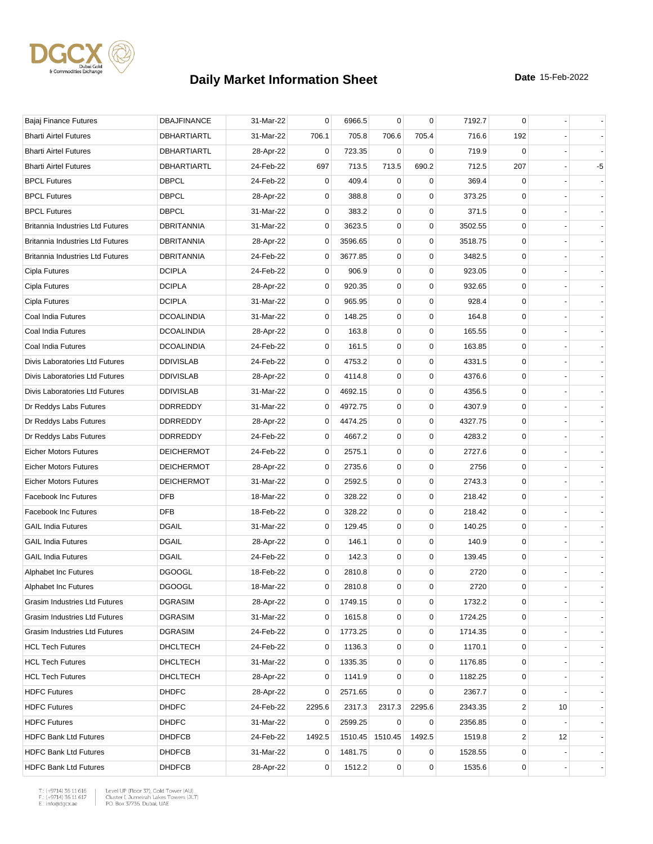

| Bajaj Finance Futures                   | <b>DBAJFINANCE</b> | 31-Mar-22 | 0           | 6966.5  | 0           | $\mathbf 0$ | 7192.7  | 0           |    |      |
|-----------------------------------------|--------------------|-----------|-------------|---------|-------------|-------------|---------|-------------|----|------|
| <b>Bharti Airtel Futures</b>            | DBHARTIARTL        | 31-Mar-22 | 706.1       | 705.8   | 706.6       | 705.4       | 716.6   | 192         |    |      |
| <b>Bharti Airtel Futures</b>            | DBHARTIARTL        | 28-Apr-22 | 0           | 723.35  | 0           | 0           | 719.9   | 0           |    |      |
| <b>Bharti Airtel Futures</b>            | <b>DBHARTIARTL</b> | 24-Feb-22 | 697         | 713.5   | 713.5       | 690.2       | 712.5   | 207         |    | $-5$ |
| <b>BPCL Futures</b>                     | <b>DBPCL</b>       | 24-Feb-22 | 0           | 409.4   | 0           | $\mathbf 0$ | 369.4   | 0           |    |      |
| <b>BPCL Futures</b>                     | <b>DBPCL</b>       | 28-Apr-22 | 0           | 388.8   | 0           | $\mathbf 0$ | 373.25  | 0           |    |      |
| <b>BPCL Futures</b>                     | <b>DBPCL</b>       | 31-Mar-22 | $\mathbf 0$ | 383.2   | 0           | 0           | 371.5   | 0           |    |      |
| Britannia Industries Ltd Futures        | <b>DBRITANNIA</b>  | 31-Mar-22 | 0           | 3623.5  | 0           | $\mathbf 0$ | 3502.55 | 0           |    |      |
| <b>Britannia Industries Ltd Futures</b> | DBRITANNIA         | 28-Apr-22 | 0           | 3596.65 | 0           | $\mathbf 0$ | 3518.75 | 0           |    |      |
| <b>Britannia Industries Ltd Futures</b> | <b>DBRITANNIA</b>  | 24-Feb-22 | 0           | 3677.85 | 0           | 0           | 3482.5  | 0           |    |      |
| Cipla Futures                           | <b>DCIPLA</b>      | 24-Feb-22 | 0           | 906.9   | 0           | $\mathbf 0$ | 923.05  | 0           |    |      |
| Cipla Futures                           | <b>DCIPLA</b>      | 28-Apr-22 | 0           | 920.35  | 0           | $\mathbf 0$ | 932.65  | 0           |    |      |
| Cipla Futures                           | <b>DCIPLA</b>      | 31-Mar-22 | 0           | 965.95  | 0           | 0           | 928.4   | 0           |    |      |
| Coal India Futures                      | <b>DCOALINDIA</b>  | 31-Mar-22 | 0           | 148.25  | 0           | $\mathbf 0$ | 164.8   | 0           |    |      |
| Coal India Futures                      | <b>DCOALINDIA</b>  | 28-Apr-22 | 0           | 163.8   | 0           | $\mathbf 0$ | 165.55  | 0           |    |      |
| Coal India Futures                      | <b>DCOALINDIA</b>  | 24-Feb-22 | 0           | 161.5   | 0           | 0           | 163.85  | 0           |    |      |
| Divis Laboratories Ltd Futures          | <b>DDIVISLAB</b>   | 24-Feb-22 | 0           | 4753.2  | 0           | $\mathbf 0$ | 4331.5  | 0           |    |      |
| Divis Laboratories Ltd Futures          | <b>DDIVISLAB</b>   | 28-Apr-22 | $\mathbf 0$ | 4114.8  | 0           | $\mathbf 0$ | 4376.6  | 0           |    |      |
| Divis Laboratories Ltd Futures          | <b>DDIVISLAB</b>   | 31-Mar-22 | $\mathbf 0$ | 4692.15 | 0           | $\mathbf 0$ | 4356.5  | $\mathbf 0$ |    |      |
| Dr Reddys Labs Futures                  | DDRREDDY           | 31-Mar-22 | 0           | 4972.75 | 0           | $\mathbf 0$ | 4307.9  | 0           |    |      |
| Dr Reddys Labs Futures                  | <b>DDRREDDY</b>    | 28-Apr-22 | 0           | 4474.25 | 0           | $\mathbf 0$ | 4327.75 | 0           |    |      |
| Dr Reddys Labs Futures                  | <b>DDRREDDY</b>    | 24-Feb-22 | 0           | 4667.2  | 0           | $\mathbf 0$ | 4283.2  | 0           |    |      |
| <b>Eicher Motors Futures</b>            | <b>DEICHERMOT</b>  | 24-Feb-22 | 0           | 2575.1  | 0           | $\mathbf 0$ | 2727.6  | 0           |    |      |
| <b>Eicher Motors Futures</b>            | <b>DEICHERMOT</b>  | 28-Apr-22 | 0           | 2735.6  | 0           | $\mathbf 0$ | 2756    | 0           |    |      |
| <b>Eicher Motors Futures</b>            | <b>DEICHERMOT</b>  | 31-Mar-22 | 0           | 2592.5  | 0           | $\mathbf 0$ | 2743.3  | 0           |    |      |
| <b>Facebook Inc Futures</b>             | <b>DFB</b>         | 18-Mar-22 | 0           | 328.22  | 0           | $\mathbf 0$ | 218.42  | 0           |    |      |
| <b>Facebook Inc Futures</b>             | <b>DFB</b>         | 18-Feb-22 | 0           | 328.22  | 0           | $\mathbf 0$ | 218.42  | 0           |    |      |
| <b>GAIL India Futures</b>               | <b>DGAIL</b>       | 31-Mar-22 | 0           | 129.45  | 0           | $\mathbf 0$ | 140.25  | 0           |    |      |
| <b>GAIL India Futures</b>               | <b>DGAIL</b>       | 28-Apr-22 | 0           | 146.1   | 0           | $\mathbf 0$ | 140.9   | 0           |    |      |
| <b>GAIL India Futures</b>               | <b>DGAIL</b>       | 24-Feb-22 | 0           | 142.3   | 0           | 0           | 139.45  | 0           |    |      |
| Alphabet Inc Futures                    | <b>DGOOGL</b>      | 18-Feb-22 | 0           | 2810.8  | 0           | 0           | 2720    | 0           |    |      |
| Alphabet Inc Futures                    | <b>DGOOGL</b>      | 18-Mar-22 | $\mathbf 0$ | 2810.8  | $\mathbf 0$ | $\mathbf 0$ | 2720    | $\mathbf 0$ |    |      |
| Grasim Industries Ltd Futures           | <b>DGRASIM</b>     | 28-Apr-22 | 0           | 1749.15 | 0           | 0           | 1732.2  | 0           |    |      |
| Grasim Industries Ltd Futures           | <b>DGRASIM</b>     | 31-Mar-22 | 0           | 1615.8  | 0           | $\mathbf 0$ | 1724.25 | 0           |    |      |
| Grasim Industries Ltd Futures           | <b>DGRASIM</b>     | 24-Feb-22 | 0           | 1773.25 | 0           | $\pmb{0}$   | 1714.35 | 0           |    |      |
| <b>HCL Tech Futures</b>                 | DHCLTECH           | 24-Feb-22 | 0           | 1136.3  | 0           | 0           | 1170.1  | 0           |    |      |
| <b>HCL Tech Futures</b>                 | <b>DHCLTECH</b>    | 31-Mar-22 | 0           | 1335.35 | 0           | $\pmb{0}$   | 1176.85 | 0           |    |      |
| <b>HCL Tech Futures</b>                 | <b>DHCLTECH</b>    | 28-Apr-22 | 0           | 1141.9  | 0           | 0           | 1182.25 | 0           |    |      |
| <b>HDFC Futures</b>                     | <b>DHDFC</b>       | 28-Apr-22 | 0           | 2571.65 | 0           | 0           | 2367.7  | 0           |    |      |
| <b>HDFC Futures</b>                     | <b>DHDFC</b>       | 24-Feb-22 | 2295.6      | 2317.3  | 2317.3      | 2295.6      | 2343.35 | 2           | 10 |      |
| <b>HDFC Futures</b>                     | <b>DHDFC</b>       | 31-Mar-22 | 0           | 2599.25 | 0           | 0           | 2356.85 | 0           |    |      |
| <b>HDFC Bank Ltd Futures</b>            | <b>DHDFCB</b>      | 24-Feb-22 | 1492.5      | 1510.45 | 1510.45     | 1492.5      | 1519.8  | 2           | 12 |      |
| <b>HDFC Bank Ltd Futures</b>            | <b>DHDFCB</b>      | 31-Mar-22 | 0           | 1481.75 | 0           | 0           | 1528.55 | 0           |    |      |
| <b>HDFC Bank Ltd Futures</b>            | <b>DHDFCB</b>      | 28-Apr-22 | 0           | 1512.2  | 0           | $\pmb{0}$   | 1535.6  | 0           |    |      |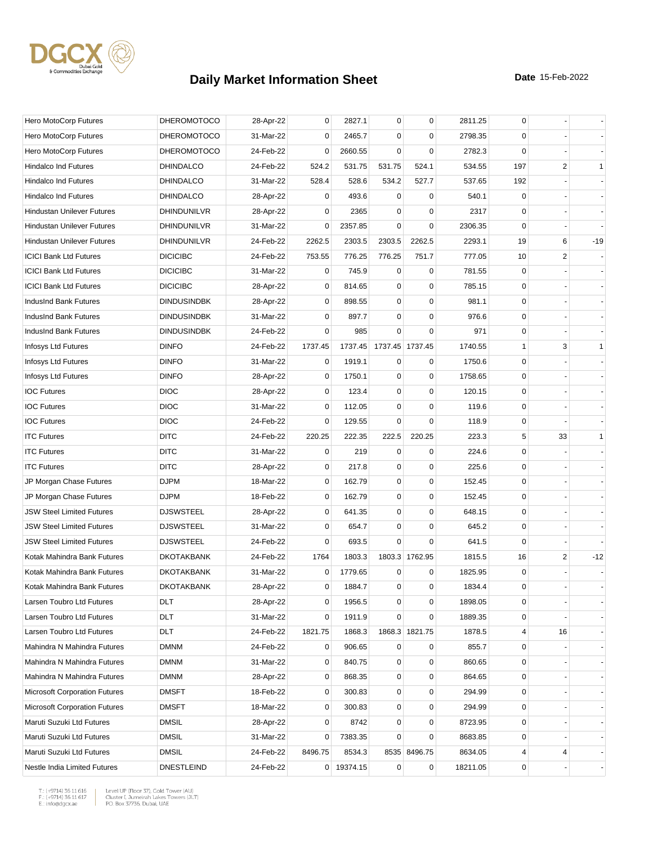

| Hero MotoCorp Futures                | <b>DHEROMOTOCO</b> | 28-Apr-22 | 0           | 2827.1     | 0           | $\mathbf 0$     | 2811.25  | 0           |    |              |
|--------------------------------------|--------------------|-----------|-------------|------------|-------------|-----------------|----------|-------------|----|--------------|
| Hero MotoCorp Futures                | <b>DHEROMOTOCO</b> | 31-Mar-22 | 0           | 2465.7     | $\mathbf 0$ | 0               | 2798.35  | 0           |    |              |
| Hero MotoCorp Futures                | <b>DHEROMOTOCO</b> | 24-Feb-22 | 0           | 2660.55    | $\mathbf 0$ | $\mathbf 0$     | 2782.3   | $\mathbf 0$ |    |              |
| Hindalco Ind Futures                 | <b>DHINDALCO</b>   | 24-Feb-22 | 524.2       | 531.75     | 531.75      | 524.1           | 534.55   | 197         | 2  | $\mathbf{1}$ |
| <b>Hindalco Ind Futures</b>          | <b>DHINDALCO</b>   | 31-Mar-22 | 528.4       | 528.6      | 534.2       | 527.7           | 537.65   | 192         |    |              |
| <b>Hindalco Ind Futures</b>          | <b>DHINDALCO</b>   | 28-Apr-22 | 0           | 493.6      | 0           | 0               | 540.1    | 0           |    |              |
| <b>Hindustan Unilever Futures</b>    | DHINDUNILVR        | 28-Apr-22 | 0           | 2365       | 0           | $\mathbf 0$     | 2317     | 0           |    |              |
| <b>Hindustan Unilever Futures</b>    | DHINDUNILVR        | 31-Mar-22 | 0           | 2357.85    | $\Omega$    | $\mathbf 0$     | 2306.35  | $\mathbf 0$ |    |              |
| <b>Hindustan Unilever Futures</b>    | DHINDUNILVR        | 24-Feb-22 | 2262.5      | 2303.5     | 2303.5      | 2262.5          | 2293.1   | 19          | 6  | $-19$        |
| <b>ICICI Bank Ltd Futures</b>        | <b>DICICIBC</b>    | 24-Feb-22 | 753.55      | 776.25     | 776.25      | 751.7           | 777.05   | 10          | 2  |              |
| <b>ICICI Bank Ltd Futures</b>        | <b>DICICIBC</b>    | 31-Mar-22 | 0           | 745.9      | $\mathbf 0$ | 0               | 781.55   | $\mathbf 0$ |    |              |
| <b>ICICI Bank Ltd Futures</b>        | <b>DICICIBC</b>    | 28-Apr-22 | 0           | 814.65     | 0           | $\mathbf 0$     | 785.15   | 0           |    |              |
| IndusInd Bank Futures                | <b>DINDUSINDBK</b> | 28-Apr-22 | 0           | 898.55     | 0           | 0               | 981.1    | 0           |    |              |
| IndusInd Bank Futures                | <b>DINDUSINDBK</b> | 31-Mar-22 | 0           | 897.7      | $\mathbf 0$ | $\mathbf 0$     | 976.6    | 0           |    |              |
| IndusInd Bank Futures                | <b>DINDUSINDBK</b> | 24-Feb-22 | 0           | 985        | $\mathbf 0$ | $\mathbf 0$     | 971      | 0           |    |              |
| Infosys Ltd Futures                  | <b>DINFO</b>       | 24-Feb-22 | 1737.45     | 1737.45    |             | 1737.45 1737.45 | 1740.55  | 1           | 3  | $\mathbf{1}$ |
| Infosys Ltd Futures                  | <b>DINFO</b>       | 31-Mar-22 | 0           | 1919.1     | $\mathbf 0$ | $\mathbf 0$     | 1750.6   | $\mathbf 0$ |    |              |
| Infosys Ltd Futures                  | <b>DINFO</b>       | 28-Apr-22 | 0           | 1750.1     | $\mathbf 0$ | $\pmb{0}$       | 1758.65  | $\mathbf 0$ |    |              |
| <b>IOC Futures</b>                   | <b>DIOC</b>        | 28-Apr-22 | 0           | 123.4      | 0           | 0               | 120.15   | 0           |    |              |
| <b>IOC Futures</b>                   | <b>DIOC</b>        | 31-Mar-22 | 0           | 112.05     | $\mathbf 0$ | $\mathbf 0$     | 119.6    | 0           |    |              |
| <b>IOC Futures</b>                   | <b>DIOC</b>        | 24-Feb-22 | 0           | 129.55     | $\mathbf 0$ | $\mathbf 0$     | 118.9    | 0           |    |              |
| <b>ITC Futures</b>                   | <b>DITC</b>        | 24-Feb-22 | 220.25      | 222.35     | 222.5       | 220.25          | 223.3    | 5           | 33 | $\mathbf{1}$ |
| <b>ITC Futures</b>                   | <b>DITC</b>        | 31-Mar-22 | $\mathbf 0$ | 219        | $\mathbf 0$ | $\mathbf 0$     | 224.6    | 0           |    |              |
| <b>ITC Futures</b>                   | <b>DITC</b>        | 28-Apr-22 | 0           | 217.8      | $\mathbf 0$ | $\mathbf 0$     | 225.6    | $\mathbf 0$ |    |              |
| JP Morgan Chase Futures              | <b>DJPM</b>        | 18-Mar-22 | 0           | 162.79     | 0           | 0               | 152.45   | $\mathbf 0$ |    |              |
| JP Morgan Chase Futures              | <b>DJPM</b>        | 18-Feb-22 | 0           | 162.79     | 0           | $\mathbf 0$     | 152.45   | 0           |    |              |
| <b>JSW Steel Limited Futures</b>     | <b>DJSWSTEEL</b>   | 28-Apr-22 | 0           | 641.35     | 0           | $\mathbf 0$     | 648.15   | 0           |    |              |
| <b>JSW Steel Limited Futures</b>     | <b>DJSWSTEEL</b>   | 31-Mar-22 | 0           | 654.7      | 0           | $\mathbf 0$     | 645.2    | $\mathbf 0$ |    |              |
| <b>JSW Steel Limited Futures</b>     | <b>DJSWSTEEL</b>   | 24-Feb-22 | 0           | 693.5      | $\Omega$    | $\mathbf 0$     | 641.5    | $\mathbf 0$ |    |              |
| Kotak Mahindra Bank Futures          | <b>DKOTAKBANK</b>  | 24-Feb-22 | 1764        | 1803.3     |             | 1803.3 1762.95  | 1815.5   | 16          | 2  | $-12$        |
| Kotak Mahindra Bank Futures          | <b>DKOTAKBANK</b>  | 31-Mar-22 | 0           | 1779.65    | 0           | 0               | 1825.95  | 0           |    |              |
| Kotak Mahindra Bank Futures          | <b>DKOTAKBANK</b>  | 28-Apr-22 | 0           | 1884.7     | $\mathbf 0$ | $\mathbf 0$     | 1834.4   | $\mathbf 0$ |    |              |
| Larsen Toubro Ltd Futures            | DLT                | 28-Apr-22 | 0           | 1956.5     | 0           | 0               | 1898.05  | 0           |    |              |
| Larsen Toubro Ltd Futures            | DLT                | 31-Mar-22 | 0           | 1911.9     | 0           | $\mathbf 0$     | 1889.35  | 0           |    |              |
| Larsen Toubro Ltd Futures            | DLT                | 24-Feb-22 | 1821.75     | 1868.3     |             | 1868.3 1821.75  | 1878.5   | 4           | 16 |              |
| Mahindra N Mahindra Futures          | <b>DMNM</b>        | 24-Feb-22 | 0           | 906.65     | 0           | 0               | 855.7    | 0           |    |              |
| Mahindra N Mahindra Futures          | <b>DMNM</b>        | 31-Mar-22 | 0           | 840.75     | 0           | $\mathbf 0$     | 860.65   | 0           |    |              |
| Mahindra N Mahindra Futures          | <b>DMNM</b>        | 28-Apr-22 | 0           | 868.35     | 0           | $\pmb{0}$       | 864.65   | 0           |    |              |
| <b>Microsoft Corporation Futures</b> | <b>DMSFT</b>       | 18-Feb-22 | 0           | 300.83     | 0           | 0               | 294.99   | 0           |    |              |
| <b>Microsoft Corporation Futures</b> | <b>DMSFT</b>       | 18-Mar-22 | 0           | 300.83     | 0           | $\mathbf 0$     | 294.99   | 0           |    |              |
| Maruti Suzuki Ltd Futures            | <b>DMSIL</b>       | 28-Apr-22 | 0           | 8742       | 0           | $\pmb{0}$       | 8723.95  | 0           |    |              |
| Maruti Suzuki Ltd Futures            | <b>DMSIL</b>       | 31-Mar-22 | 0           | 7383.35    | 0           | 0               | 8683.85  | 0           |    |              |
| Maruti Suzuki Ltd Futures            | <b>DMSIL</b>       | 24-Feb-22 | 8496.75     | 8534.3     |             | 8535 8496.75    | 8634.05  | 4           | 4  |              |
| Nestle India Limited Futures         | <b>DNESTLEIND</b>  | 24-Feb-22 |             | 0 19374.15 | 0           | $\pmb{0}$       | 18211.05 | 0           |    |              |

 $\begin{tabular}{|l|l|l|l|} \hline $\mathsf{T}$: $(+9714)$ 36 11 616 & \textit{Level UP (Flow 37)},\textit{Gold Tower (AU)}$ \\ \hline \multicolumn{3}{|l|}{\mathsf{F}}:\\ $(+9714)$ 36 11 617 & \textit{Cluster I, Jumerirah Lakes Tower (JUT)}$ \\ \multicolumn{3}{|l|}{\mathsf{E}}:\\ $\text{infogdgcxae}$ & \multicolumn{3}{|l|}{\mathsf{PO}}. \textit{Box 37736, Dubai, UAE} \hline \end{tabular}$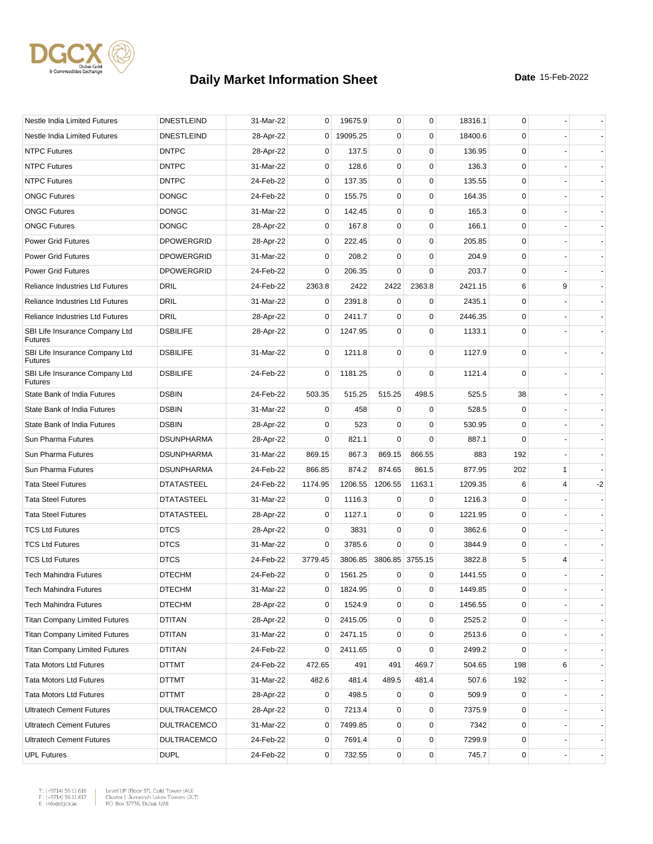

| Nestle India Limited Futures                     | <b>DNESTLEIND</b>  | 31-Mar-22 | 0           | 19675.9  | 0           | $\mathbf 0$     | 18316.1 | 0           |   |      |
|--------------------------------------------------|--------------------|-----------|-------------|----------|-------------|-----------------|---------|-------------|---|------|
| Nestle India Limited Futures                     | <b>DNESTLEIND</b>  | 28-Apr-22 | $\mathbf 0$ | 19095.25 | $\mathbf 0$ | $\mathbf 0$     | 18400.6 | 0           |   |      |
| <b>NTPC Futures</b>                              | <b>DNTPC</b>       | 28-Apr-22 | 0           | 137.5    | 0           | $\mathbf 0$     | 136.95  | $\mathbf 0$ |   |      |
| <b>NTPC Futures</b>                              | <b>DNTPC</b>       | 31-Mar-22 | 0           | 128.6    | $\mathbf 0$ | $\mathbf 0$     | 136.3   | $\mathbf 0$ |   |      |
| <b>NTPC Futures</b>                              | <b>DNTPC</b>       | 24-Feb-22 | 0           | 137.35   | 0           | $\mathbf 0$     | 135.55  | 0           |   |      |
| <b>ONGC Futures</b>                              | <b>DONGC</b>       | 24-Feb-22 | $\mathbf 0$ | 155.75   | $\mathbf 0$ | $\mathbf 0$     | 164.35  | $\mathbf 0$ |   |      |
| <b>ONGC Futures</b>                              | <b>DONGC</b>       | 31-Mar-22 | 0           | 142.45   | $\mathbf 0$ | $\mathbf 0$     | 165.3   | 0           |   |      |
| <b>ONGC Futures</b>                              | <b>DONGC</b>       | 28-Apr-22 | 0           | 167.8    | $\mathbf 0$ | $\mathbf 0$     | 166.1   | 0           |   |      |
| <b>Power Grid Futures</b>                        | <b>DPOWERGRID</b>  | 28-Apr-22 | 0           | 222.45   | $\mathbf 0$ | $\mathbf 0$     | 205.85  | $\mathbf 0$ |   |      |
| <b>Power Grid Futures</b>                        | <b>DPOWERGRID</b>  | 31-Mar-22 | 0           | 208.2    | 0           | 0               | 204.9   | 0           |   |      |
| <b>Power Grid Futures</b>                        | <b>DPOWERGRID</b>  | 24-Feb-22 | 0           | 206.35   | $\Omega$    | $\mathbf 0$     | 203.7   | 0           |   |      |
| Reliance Industries Ltd Futures                  | DRIL               | 24-Feb-22 | 2363.8      | 2422     | 2422        | 2363.8          | 2421.15 | 6           | 9 |      |
| <b>Reliance Industries Ltd Futures</b>           | <b>DRIL</b>        | 31-Mar-22 | 0           | 2391.8   | 0           | 0               | 2435.1  | 0           |   |      |
| <b>Reliance Industries Ltd Futures</b>           | DRIL               | 28-Apr-22 | 0           | 2411.7   | $\mathbf 0$ | $\mathbf 0$     | 2446.35 | 0           |   |      |
| SBI Life Insurance Company Ltd<br><b>Futures</b> | <b>DSBILIFE</b>    | 28-Apr-22 | 0           | 1247.95  | 0           | $\mathbf 0$     | 1133.1  | 0           |   |      |
| SBI Life Insurance Company Ltd<br><b>Futures</b> | <b>DSBILIFE</b>    | 31-Mar-22 | $\mathbf 0$ | 1211.8   | 0           | 0               | 1127.9  | $\mathbf 0$ |   |      |
| SBI Life Insurance Company Ltd<br><b>Futures</b> | <b>DSBILIFE</b>    | 24-Feb-22 | 0           | 1181.25  | $\mathbf 0$ | $\mathbf 0$     | 1121.4  | 0           |   |      |
| State Bank of India Futures                      | <b>DSBIN</b>       | 24-Feb-22 | 503.35      | 515.25   | 515.25      | 498.5           | 525.5   | 38          |   |      |
| State Bank of India Futures                      | <b>DSBIN</b>       | 31-Mar-22 | 0           | 458      | 0           | 0               | 528.5   | 0           |   |      |
| State Bank of India Futures                      | <b>DSBIN</b>       | 28-Apr-22 | 0           | 523      | $\Omega$    | $\mathbf 0$     | 530.95  | 0           |   |      |
| Sun Pharma Futures                               | <b>DSUNPHARMA</b>  | 28-Apr-22 | 0           | 821.1    | $\Omega$    | $\Omega$        | 887.1   | $\mathbf 0$ |   |      |
| Sun Pharma Futures                               | <b>DSUNPHARMA</b>  | 31-Mar-22 | 869.15      | 867.3    | 869.15      | 866.55          | 883     | 192         |   |      |
| Sun Pharma Futures                               | <b>DSUNPHARMA</b>  | 24-Feb-22 | 866.85      | 874.2    | 874.65      | 861.5           | 877.95  | 202         | 1 |      |
| <b>Tata Steel Futures</b>                        | <b>DTATASTEEL</b>  | 24-Feb-22 | 1174.95     | 1206.55  | 1206.55     | 1163.1          | 1209.35 | 6           | 4 | $-2$ |
| <b>Tata Steel Futures</b>                        | <b>DTATASTEEL</b>  | 31-Mar-22 | 0           | 1116.3   | 0           | 0               | 1216.3  | 0           |   |      |
| <b>Tata Steel Futures</b>                        | <b>DTATASTEEL</b>  | 28-Apr-22 | 0           | 1127.1   | $\mathbf 0$ | $\mathbf 0$     | 1221.95 | 0           |   |      |
| <b>TCS Ltd Futures</b>                           | <b>DTCS</b>        | 28-Apr-22 | 0           | 3831     | 0           | 0               | 3862.6  | 0           |   |      |
| <b>TCS Ltd Futures</b>                           | <b>DTCS</b>        | 31-Mar-22 | 0           | 3785.6   | $\Omega$    | 0               | 3844.9  | 0           |   |      |
| <b>TCS Ltd Futures</b>                           | <b>DTCS</b>        | 24-Feb-22 | 3779.45     | 3806.85  |             | 3806.85 3755.15 | 3822.8  | 5           | 4 |      |
| <b>Tech Mahindra Futures</b>                     | <b>DTECHM</b>      | 24-Feb-22 | 0           | 1561.25  | 0           | 0               | 1441.55 | 0           |   |      |
| <b>Tech Mahindra Futures</b>                     | <b>DTECHM</b>      | 31-Mar-22 | 0           | 1824.95  | 0           | 0               | 1449.85 | $\Omega$    |   |      |
| Tech Mahindra Futures                            | <b>DTECHM</b>      | 28-Apr-22 | 0           | 1524.9   | 0           | 0               | 1456.55 | 0           |   |      |
| <b>Titan Company Limited Futures</b>             | DTITAN             | 28-Apr-22 | 0           | 2415.05  | 0           | $\mathbf 0$     | 2525.2  | 0           |   |      |
| <b>Titan Company Limited Futures</b>             | <b>DTITAN</b>      | 31-Mar-22 | 0           | 2471.15  | 0           | $\mathbf 0$     | 2513.6  | 0           |   |      |
| <b>Titan Company Limited Futures</b>             | DTITAN             | 24-Feb-22 | 0           | 2411.65  | 0           | $\mathbf 0$     | 2499.2  | 0           |   |      |
| <b>Tata Motors Ltd Futures</b>                   | DTTMT              | 24-Feb-22 | 472.65      | 491      | 491         | 469.7           | 504.65  | 198         | 6 |      |
| <b>Tata Motors Ltd Futures</b>                   | DTTMT              | 31-Mar-22 | 482.6       | 481.4    | 489.5       | 481.4           | 507.6   | 192         |   |      |
| <b>Tata Motors Ltd Futures</b>                   | DTTMT              | 28-Apr-22 | 0           | 498.5    | 0           | 0               | 509.9   | 0           |   |      |
| <b>Ultratech Cement Futures</b>                  | <b>DULTRACEMCO</b> | 28-Apr-22 | 0           | 7213.4   | 0           | 0               | 7375.9  | 0           |   |      |
| <b>Ultratech Cement Futures</b>                  | <b>DULTRACEMCO</b> | 31-Mar-22 | 0           | 7499.85  | 0           | $\mathbf 0$     | 7342    | 0           |   |      |
| <b>Ultratech Cement Futures</b>                  | <b>DULTRACEMCO</b> | 24-Feb-22 | 0           | 7691.4   | 0           | $\pmb{0}$       | 7299.9  | 0           |   |      |
| <b>UPL Futures</b>                               | <b>DUPL</b>        | 24-Feb-22 | 0           | 732.55   | 0           | $\pmb{0}$       | 745.7   | 0           |   |      |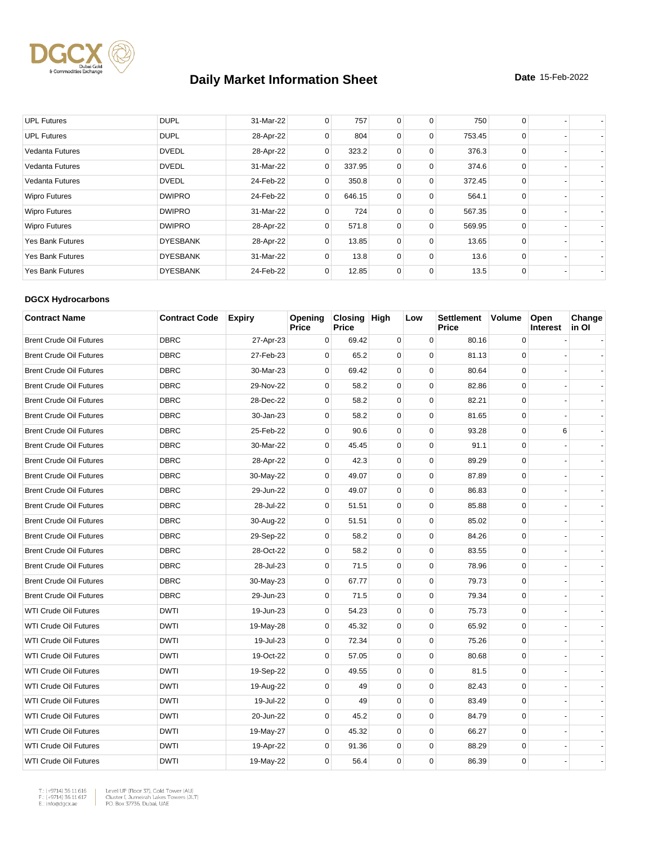

| <b>UPL Futures</b>      | <b>DUPL</b>     | 31-Mar-22 | 0            | 757    | $\mathbf 0$    | 0           | 750    | 0        |  |
|-------------------------|-----------------|-----------|--------------|--------|----------------|-------------|--------|----------|--|
| <b>UPL Futures</b>      | <b>DUPL</b>     | 28-Apr-22 | 0            | 804    | $\mathbf 0$    | 0           | 753.45 | 0        |  |
| Vedanta Futures         | <b>DVEDL</b>    | 28-Apr-22 | 0            | 323.2  | $\mathbf 0$    | 0           | 376.3  | $\Omega$ |  |
| <b>Vedanta Futures</b>  | <b>DVEDL</b>    | 31-Mar-22 | $\mathbf{0}$ | 337.95 | 0              | $\mathbf 0$ | 374.6  | 0        |  |
| <b>Vedanta Futures</b>  | <b>DVEDL</b>    | 24-Feb-22 | $\Omega$     | 350.8  | $\mathbf 0$    | 0           | 372.45 | 0        |  |
| <b>Wipro Futures</b>    | <b>DWIPRO</b>   | 24-Feb-22 | $\mathbf{0}$ | 646.15 | $\mathbf 0$    | 0           | 564.1  | 0        |  |
| <b>Wipro Futures</b>    | <b>DWIPRO</b>   | 31-Mar-22 | $\Omega$     | 724    | $\mathbf 0$    | $\Omega$    | 567.35 | $\Omega$ |  |
| <b>Wipro Futures</b>    | <b>DWIPRO</b>   | 28-Apr-22 | 0            | 571.8  | $\mathbf 0$    | 0           | 569.95 | 0        |  |
| <b>Yes Bank Futures</b> | <b>DYESBANK</b> | 28-Apr-22 | $\Omega$     | 13.85  | $\Omega$       | $\Omega$    | 13.65  | $\Omega$ |  |
| <b>Yes Bank Futures</b> | <b>DYESBANK</b> | 31-Mar-22 | $\Omega$     | 13.8   | $\overline{0}$ | 0           | 13.6   | 0        |  |
| <b>Yes Bank Futures</b> | <b>DYESBANK</b> | 24-Feb-22 | 0            | 12.85  | $\mathbf 0$    | 0           | 13.5   | 0        |  |

#### **DGCX Hydrocarbons**

| <b>Contract Name</b>           | <b>Contract Code</b> | <b>Expiry</b> | Opening<br>Price | Closing High<br><b>Price</b> |             | Low         | <b>Settlement</b><br>Price | Volume      | Open<br><b>Interest</b> | Change<br>in Ol |
|--------------------------------|----------------------|---------------|------------------|------------------------------|-------------|-------------|----------------------------|-------------|-------------------------|-----------------|
| <b>Brent Crude Oil Futures</b> | <b>DBRC</b>          | 27-Apr-23     | 0                | 69.42                        | $\mathbf 0$ | $\mathbf 0$ | 80.16                      | $\mathbf 0$ |                         |                 |
| <b>Brent Crude Oil Futures</b> | <b>DBRC</b>          | 27-Feb-23     | $\mathbf 0$      | 65.2                         | 0           | $\mathbf 0$ | 81.13                      | $\mathbf 0$ |                         |                 |
| <b>Brent Crude Oil Futures</b> | <b>DBRC</b>          | 30-Mar-23     | $\mathbf 0$      | 69.42                        | $\mathbf 0$ | $\mathbf 0$ | 80.64                      | $\mathbf 0$ |                         |                 |
| <b>Brent Crude Oil Futures</b> | <b>DBRC</b>          | 29-Nov-22     | 0                | 58.2                         | 0           | 0           | 82.86                      | 0           |                         |                 |
| <b>Brent Crude Oil Futures</b> | <b>DBRC</b>          | 28-Dec-22     | $\mathbf 0$      | 58.2                         | $\mathbf 0$ | $\Omega$    | 82.21                      | $\Omega$    |                         |                 |
| <b>Brent Crude Oil Futures</b> | <b>DBRC</b>          | 30-Jan-23     | 0                | 58.2                         | 0           | $\mathbf 0$ | 81.65                      | $\mathbf 0$ |                         |                 |
| <b>Brent Crude Oil Futures</b> | <b>DBRC</b>          | 25-Feb-22     | $\mathbf 0$      | 90.6                         | $\mathbf 0$ | 0           | 93.28                      | 0           | 6                       |                 |
| <b>Brent Crude Oil Futures</b> | <b>DBRC</b>          | 30-Mar-22     | 0                | 45.45                        | 0           | 0           | 91.1                       | $\mathsf 0$ |                         |                 |
| <b>Brent Crude Oil Futures</b> | <b>DBRC</b>          | 28-Apr-22     | $\mathbf 0$      | 42.3                         | 0           | $\mathbf 0$ | 89.29                      | $\mathbf 0$ |                         |                 |
| <b>Brent Crude Oil Futures</b> | <b>DBRC</b>          | 30-May-22     | 0                | 49.07                        | 0           | 0           | 87.89                      | $\mathbf 0$ |                         |                 |
| <b>Brent Crude Oil Futures</b> | <b>DBRC</b>          | 29-Jun-22     | $\Omega$         | 49.07                        | $\mathbf 0$ | $\mathbf 0$ | 86.83                      | $\mathbf 0$ |                         |                 |
| <b>Brent Crude Oil Futures</b> | <b>DBRC</b>          | 28-Jul-22     | 0                | 51.51                        | 0           | $\mathbf 0$ | 85.88                      | $\mathbf 0$ |                         |                 |
| <b>Brent Crude Oil Futures</b> | <b>DBRC</b>          | 30-Aug-22     | $\mathbf 0$      | 51.51                        | $\mathbf 0$ | $\mathbf 0$ | 85.02                      | $\mathbf 0$ |                         |                 |
| <b>Brent Crude Oil Futures</b> | <b>DBRC</b>          | 29-Sep-22     | $\mathbf 0$      | 58.2                         | 0           | $\mathbf 0$ | 84.26                      | $\mathbf 0$ |                         |                 |
| <b>Brent Crude Oil Futures</b> | <b>DBRC</b>          | 28-Oct-22     | $\Omega$         | 58.2                         | $\mathbf 0$ | $\mathbf 0$ | 83.55                      | $\mathbf 0$ |                         |                 |
| <b>Brent Crude Oil Futures</b> | <b>DBRC</b>          | 28-Jul-23     | $\mathbf 0$      | 71.5                         | 0           | 0           | 78.96                      | 0           |                         |                 |
| <b>Brent Crude Oil Futures</b> | <b>DBRC</b>          | 30-May-23     | $\mathbf 0$      | 67.77                        | 0           | $\mathbf 0$ | 79.73                      | $\mathbf 0$ |                         |                 |
| <b>Brent Crude Oil Futures</b> | <b>DBRC</b>          | 29-Jun-23     | 0                | 71.5                         | 0           | $\mathbf 0$ | 79.34                      | $\mathbf 0$ |                         |                 |
| <b>WTI Crude Oil Futures</b>   | <b>DWTI</b>          | 19-Jun-23     | $\Omega$         | 54.23                        | 0           | $\mathbf 0$ | 75.73                      | $\mathbf 0$ |                         |                 |
| <b>WTI Crude Oil Futures</b>   | <b>DWTI</b>          | 19-May-28     | 0                | 45.32                        | 0           | $\mathbf 0$ | 65.92                      | $\mathbf 0$ |                         |                 |
| WTI Crude Oil Futures          | <b>DWTI</b>          | 19-Jul-23     | $\mathbf 0$      | 72.34                        | $\mathbf 0$ | 0           | 75.26                      | $\mathbf 0$ |                         |                 |
| <b>WTI Crude Oil Futures</b>   | <b>DWTI</b>          | 19-Oct-22     | $\mathbf 0$      | 57.05                        | 0           | $\pmb{0}$   | 80.68                      | $\mathbf 0$ |                         |                 |
| <b>WTI Crude Oil Futures</b>   | <b>DWTI</b>          | 19-Sep-22     | $\mathbf 0$      | 49.55                        | $\mathbf 0$ | 0           | 81.5                       | $\mathbf 0$ |                         |                 |
| <b>WTI Crude Oil Futures</b>   | <b>DWTI</b>          | 19-Aug-22     | $\mathbf 0$      | 49                           | 0           | $\mathbf 0$ | 82.43                      | $\mathbf 0$ |                         |                 |
| <b>WTI Crude Oil Futures</b>   | <b>DWTI</b>          | 19-Jul-22     | $\mathbf 0$      | 49                           | $\mathbf 0$ | 0           | 83.49                      | 0           |                         |                 |
| <b>WTI Crude Oil Futures</b>   | <b>DWTI</b>          | 20-Jun-22     | 0                | 45.2                         | 0           | $\pmb{0}$   | 84.79                      | $\mathsf 0$ |                         |                 |
| <b>WTI Crude Oil Futures</b>   | <b>DWTI</b>          | 19-May-27     | $\Omega$         | 45.32                        | $\mathbf 0$ | $\mathbf 0$ | 66.27                      | $\mathbf 0$ |                         |                 |
| <b>WTI Crude Oil Futures</b>   | <b>DWTI</b>          | 19-Apr-22     | 0                | 91.36                        | 0           | 0           | 88.29                      | $\mathbf 0$ |                         |                 |
| <b>WTI Crude Oil Futures</b>   | <b>DWTI</b>          | 19-May-22     | $\Omega$         | 56.4                         | $\mathbf 0$ | $\mathbf 0$ | 86.39                      | $\mathbf 0$ |                         |                 |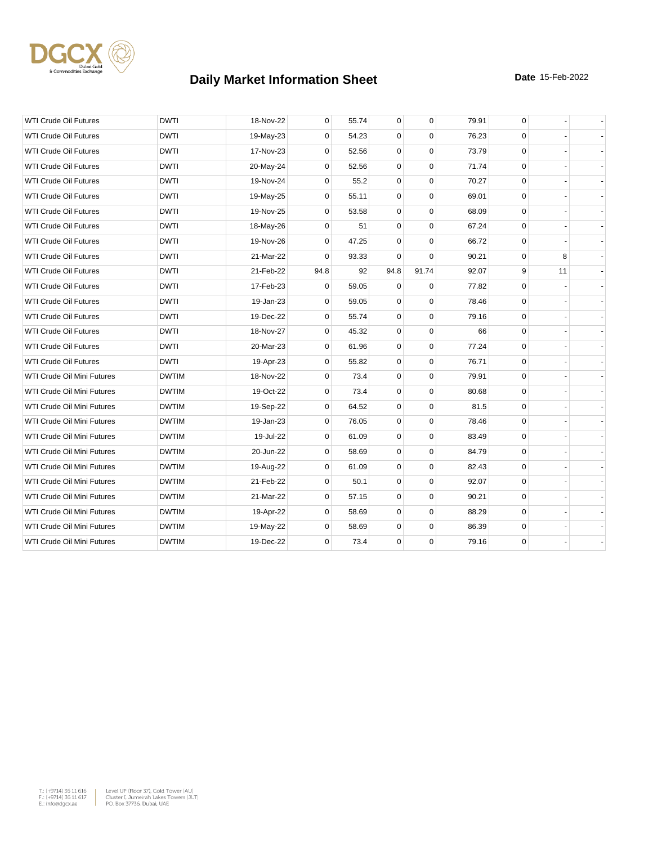

| <b>WTI Crude Oil Futures</b>      | <b>DWTI</b>  | 18-Nov-22 | 0           | 55.74 | 0           | $\mathbf 0$ | 79.91 | 0            |    |  |
|-----------------------------------|--------------|-----------|-------------|-------|-------------|-------------|-------|--------------|----|--|
| <b>WTI Crude Oil Futures</b>      | <b>DWTI</b>  | 19-May-23 | 0           | 54.23 | 0           | $\mathbf 0$ | 76.23 | $\mathbf 0$  |    |  |
| <b>WTI Crude Oil Futures</b>      | <b>DWTI</b>  | 17-Nov-23 | 0           | 52.56 | $\mathbf 0$ | $\mathbf 0$ | 73.79 | $\mathbf 0$  |    |  |
| <b>WTI Crude Oil Futures</b>      | <b>DWTI</b>  | 20-May-24 | $\mathbf 0$ | 52.56 | $\mathbf 0$ | $\mathbf 0$ | 71.74 | $\mathbf 0$  |    |  |
| <b>WTI Crude Oil Futures</b>      | <b>DWTI</b>  | 19-Nov-24 | 0           | 55.2  | 0           | $\mathbf 0$ | 70.27 | $\mathbf 0$  |    |  |
| <b>WTI Crude Oil Futures</b>      | <b>DWTI</b>  | 19-May-25 | 0           | 55.11 | $\mathbf 0$ | $\mathbf 0$ | 69.01 | $\mathbf 0$  |    |  |
| <b>WTI Crude Oil Futures</b>      | <b>DWTI</b>  | 19-Nov-25 | 0           | 53.58 | $\mathbf 0$ | $\mathbf 0$ | 68.09 | $\mathbf 0$  |    |  |
| <b>WTI Crude Oil Futures</b>      | <b>DWTI</b>  | 18-May-26 | 0           | 51    | $\mathbf 0$ | $\mathbf 0$ | 67.24 | $\mathbf 0$  |    |  |
| <b>WTI Crude Oil Futures</b>      | <b>DWTI</b>  | 19-Nov-26 | 0           | 47.25 | $\mathbf 0$ | $\mathbf 0$ | 66.72 | 0            |    |  |
| <b>WTI Crude Oil Futures</b>      | <b>DWTI</b>  | 21-Mar-22 | 0           | 93.33 | $\mathbf 0$ | $\mathbf 0$ | 90.21 | $\mathbf{0}$ | 8  |  |
| <b>WTI Crude Oil Futures</b>      | <b>DWTI</b>  | 21-Feb-22 | 94.8        | 92    | 94.8        | 91.74       | 92.07 | 9            | 11 |  |
| <b>WTI Crude Oil Futures</b>      | <b>DWTI</b>  | 17-Feb-23 | 0           | 59.05 | $\mathbf 0$ | $\mathbf 0$ | 77.82 | $\mathbf 0$  |    |  |
| <b>WTI Crude Oil Futures</b>      | <b>DWTI</b>  | 19-Jan-23 | 0           | 59.05 | 0           | $\mathbf 0$ | 78.46 | $\mathbf 0$  |    |  |
| <b>WTI Crude Oil Futures</b>      | <b>DWTI</b>  | 19-Dec-22 | 0           | 55.74 | 0           | $\Omega$    | 79.16 | $\mathbf 0$  |    |  |
| <b>WTI Crude Oil Futures</b>      | <b>DWTI</b>  | 18-Nov-27 | 0           | 45.32 | $\mathbf 0$ | $\mathbf 0$ | 66    | $\mathbf 0$  |    |  |
| <b>WTI Crude Oil Futures</b>      | <b>DWTI</b>  | 20-Mar-23 | 0           | 61.96 | 0           | $\mathbf 0$ | 77.24 | $\mathbf{0}$ |    |  |
| <b>WTI Crude Oil Futures</b>      | <b>DWTI</b>  | 19-Apr-23 | 0           | 55.82 | $\mathbf 0$ | $\mathbf 0$ | 76.71 | $\mathbf{0}$ |    |  |
| WTI Crude Oil Mini Futures        | <b>DWTIM</b> | 18-Nov-22 | 0           | 73.4  | $\mathbf 0$ | $\mathbf 0$ | 79.91 | $\mathbf 0$  |    |  |
| WTI Crude Oil Mini Futures        | <b>DWTIM</b> | 19-Oct-22 | 0           | 73.4  | 0           | 0           | 80.68 | 0            |    |  |
| WTI Crude Oil Mini Futures        | <b>DWTIM</b> | 19-Sep-22 | 0           | 64.52 | $\mathbf 0$ | $\mathbf 0$ | 81.5  | 0            |    |  |
| WTI Crude Oil Mini Futures        | <b>DWTIM</b> | 19-Jan-23 | 0           | 76.05 | $\pmb{0}$   | $\mathbf 0$ | 78.46 | 0            |    |  |
| WTI Crude Oil Mini Futures        | <b>DWTIM</b> | 19-Jul-22 | 0           | 61.09 | $\mathbf 0$ | $\mathbf 0$ | 83.49 | 0            |    |  |
| WTI Crude Oil Mini Futures        | <b>DWTIM</b> | 20-Jun-22 | 0           | 58.69 | $\mathbf 0$ | $\mathbf 0$ | 84.79 | 0            |    |  |
| <b>WTI Crude Oil Mini Futures</b> | <b>DWTIM</b> | 19-Aug-22 | 0           | 61.09 | $\mathbf 0$ | $\mathbf 0$ | 82.43 | 0            |    |  |
| WTI Crude Oil Mini Futures        | <b>DWTIM</b> | 21-Feb-22 | 0           | 50.1  | $\mathbf 0$ | $\mathbf 0$ | 92.07 | 0            |    |  |
| WTI Crude Oil Mini Futures        | <b>DWTIM</b> | 21-Mar-22 | 0           | 57.15 | 0           | $\mathbf 0$ | 90.21 | 0            |    |  |
| WTI Crude Oil Mini Futures        | <b>DWTIM</b> | 19-Apr-22 | 0           | 58.69 | 0           | $\mathbf 0$ | 88.29 | $\mathbf 0$  |    |  |
| WTI Crude Oil Mini Futures        | <b>DWTIM</b> | 19-May-22 | 0           | 58.69 | $\mathbf 0$ | $\mathbf 0$ | 86.39 | $\mathbf 0$  |    |  |
| WTI Crude Oil Mini Futures        | <b>DWTIM</b> | 19-Dec-22 | 0           | 73.4  | 0           | $\mathbf 0$ | 79.16 | $\mathbf 0$  |    |  |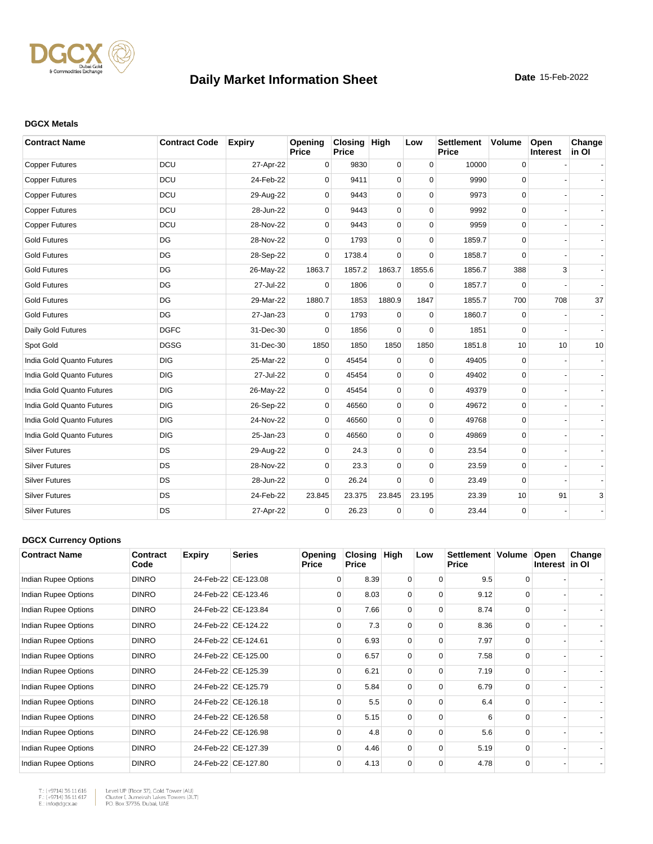

#### **DGCX Metals**

| <b>Contract Name</b>      | <b>Contract Code</b> | <b>Expiry</b> | Opening<br>Price | Closing High<br><b>Price</b> |             | Low         | <b>Settlement</b><br><b>Price</b> | <b>Volume</b> | Open<br>Interest | Change<br>in OI |
|---------------------------|----------------------|---------------|------------------|------------------------------|-------------|-------------|-----------------------------------|---------------|------------------|-----------------|
| <b>Copper Futures</b>     | DCU                  | 27-Apr-22     | 0                | 9830                         | $\mathbf 0$ | $\mathbf 0$ | 10000                             | $\mathsf 0$   |                  |                 |
| <b>Copper Futures</b>     | DCU                  | 24-Feb-22     | $\Omega$         | 9411                         | 0           | $\Omega$    | 9990                              | 0             |                  |                 |
| <b>Copper Futures</b>     | DCU                  | 29-Aug-22     | $\mathbf 0$      | 9443                         | 0           | $\mathbf 0$ | 9973                              | 0             |                  |                 |
| <b>Copper Futures</b>     | DCU                  | 28-Jun-22     | 0                | 9443                         | 0           | $\Omega$    | 9992                              | $\mathbf 0$   |                  |                 |
| <b>Copper Futures</b>     | DCU                  | 28-Nov-22     | $\Omega$         | 9443                         | 0           | $\Omega$    | 9959                              | 0             |                  |                 |
| <b>Gold Futures</b>       | DG                   | 28-Nov-22     | $\Omega$         | 1793                         | 0           | $\Omega$    | 1859.7                            | 0             |                  |                 |
| <b>Gold Futures</b>       | DG                   | 28-Sep-22     | $\Omega$         | 1738.4                       | $\Omega$    | $\Omega$    | 1858.7                            | $\Omega$      |                  |                 |
| <b>Gold Futures</b>       | DG                   | 26-May-22     | 1863.7           | 1857.2                       | 1863.7      | 1855.6      | 1856.7                            | 388           | 3                |                 |
| <b>Gold Futures</b>       | DG                   | 27-Jul-22     | $\Omega$         | 1806                         | 0           | $\Omega$    | 1857.7                            | 0             |                  |                 |
| <b>Gold Futures</b>       | DG                   | 29-Mar-22     | 1880.7           | 1853                         | 1880.9      | 1847        | 1855.7                            | 700           | 708              | 37              |
| <b>Gold Futures</b>       | DG                   | 27-Jan-23     | $\Omega$         | 1793                         | $\Omega$    | $\Omega$    | 1860.7                            | 0             |                  |                 |
| Daily Gold Futures        | <b>DGFC</b>          | 31-Dec-30     | $\Omega$         | 1856                         | $\Omega$    | $\Omega$    | 1851                              | $\mathbf 0$   |                  |                 |
| Spot Gold                 | <b>DGSG</b>          | 31-Dec-30     | 1850             | 1850                         | 1850        | 1850        | 1851.8                            | 10            | 10               | 10              |
| India Gold Quanto Futures | <b>DIG</b>           | 25-Mar-22     | $\mathbf 0$      | 45454                        | $\mathbf 0$ | $\mathbf 0$ | 49405                             | 0             |                  |                 |
| India Gold Quanto Futures | <b>DIG</b>           | 27-Jul-22     | $\Omega$         | 45454                        | 0           | $\mathbf 0$ | 49402                             | 0             |                  |                 |
| India Gold Quanto Futures | <b>DIG</b>           | 26-May-22     | $\mathbf 0$      | 45454                        | 0           | $\Omega$    | 49379                             | 0             |                  |                 |
| India Gold Quanto Futures | <b>DIG</b>           | 26-Sep-22     | $\Omega$         | 46560                        | 0           | $\Omega$    | 49672                             | $\Omega$      |                  |                 |
| India Gold Quanto Futures | <b>DIG</b>           | 24-Nov-22     | $\Omega$         | 46560                        | 0           | $\Omega$    | 49768                             | 0             |                  |                 |
| India Gold Quanto Futures | <b>DIG</b>           | 25-Jan-23     | $\Omega$         | 46560                        | 0           | $\Omega$    | 49869                             | $\mathbf 0$   |                  |                 |
| <b>Silver Futures</b>     | DS                   | 29-Aug-22     | 0                | 24.3                         | 0           | $\Omega$    | 23.54                             | $\mathbf 0$   |                  |                 |
| <b>Silver Futures</b>     | <b>DS</b>            | 28-Nov-22     | 0                | 23.3                         | 0           | $\mathbf 0$ | 23.59                             | 0             |                  |                 |
| <b>Silver Futures</b>     | <b>DS</b>            | 28-Jun-22     | $\Omega$         | 26.24                        | 0           | $\Omega$    | 23.49                             | 0             |                  |                 |
| <b>Silver Futures</b>     | <b>DS</b>            | 24-Feb-22     | 23.845           | 23.375                       | 23.845      | 23.195      | 23.39                             | 10            | 91               | 3               |
| <b>Silver Futures</b>     | DS                   | 27-Apr-22     | $\Omega$         | 26.23                        | 0           | $\Omega$    | 23.44                             | $\mathbf 0$   |                  |                 |

#### **DGCX Currency Options**

| <b>Contract Name</b> | Contract<br>Code | <b>Expiry</b> | <b>Series</b>       | Opening<br>Price | <b>Closing</b><br><b>Price</b> | High     | Low      | Settlement   Volume<br><b>Price</b> |          | Open<br>Interest in OI | Change |
|----------------------|------------------|---------------|---------------------|------------------|--------------------------------|----------|----------|-------------------------------------|----------|------------------------|--------|
| Indian Rupee Options | <b>DINRO</b>     |               | 24-Feb-22 CE-123.08 | $\Omega$         | 8.39                           | 0        | $\Omega$ | 9.5                                 | 0        |                        |        |
| Indian Rupee Options | <b>DINRO</b>     |               | 24-Feb-22 CE-123.46 | $\Omega$         | 8.03                           | 0        | $\Omega$ | 9.12                                | $\Omega$ |                        |        |
| Indian Rupee Options | <b>DINRO</b>     |               | 24-Feb-22 CE-123.84 | $\Omega$         | 7.66                           | $\Omega$ | $\Omega$ | 8.74                                | $\Omega$ |                        |        |
| Indian Rupee Options | <b>DINRO</b>     |               | 24-Feb-22 CE-124.22 | $\Omega$         | 7.3                            | $\Omega$ | $\Omega$ | 8.36                                | $\Omega$ |                        |        |
| Indian Rupee Options | <b>DINRO</b>     |               | 24-Feb-22 CE-124.61 | $\Omega$         | 6.93                           | 0        | 0        | 7.97                                | $\Omega$ |                        |        |
| Indian Rupee Options | <b>DINRO</b>     |               | 24-Feb-22 CE-125.00 | $\Omega$         | 6.57                           | $\Omega$ | $\Omega$ | 7.58                                | $\Omega$ |                        |        |
| Indian Rupee Options | <b>DINRO</b>     |               | 24-Feb-22 CE-125.39 | $\Omega$         | 6.21                           | $\Omega$ | $\Omega$ | 7.19                                | $\Omega$ |                        |        |
| Indian Rupee Options | <b>DINRO</b>     |               | 24-Feb-22 CE-125.79 | $\Omega$         | 5.84                           | $\Omega$ | $\Omega$ | 6.79                                | $\Omega$ |                        |        |
| Indian Rupee Options | <b>DINRO</b>     |               | 24-Feb-22 CE-126.18 | $\Omega$         | 5.5                            | $\Omega$ | $\Omega$ | 6.4                                 | $\Omega$ |                        |        |
| Indian Rupee Options | <b>DINRO</b>     |               | 24-Feb-22 CE-126.58 | $\Omega$         | 5.15                           | $\Omega$ | $\Omega$ | 6                                   | $\Omega$ |                        |        |
| Indian Rupee Options | <b>DINRO</b>     |               | 24-Feb-22 CE-126.98 | $\Omega$         | 4.8                            | $\Omega$ | $\Omega$ | 5.6                                 | $\Omega$ |                        |        |
| Indian Rupee Options | <b>DINRO</b>     |               | 24-Feb-22 CE-127.39 | $\Omega$         | 4.46                           | $\Omega$ | $\Omega$ | 5.19                                | $\Omega$ |                        |        |
| Indian Rupee Options | <b>DINRO</b>     |               | 24-Feb-22 CE-127.80 | $\Omega$         | 4.13                           | 0        | $\Omega$ | 4.78                                | 0        |                        |        |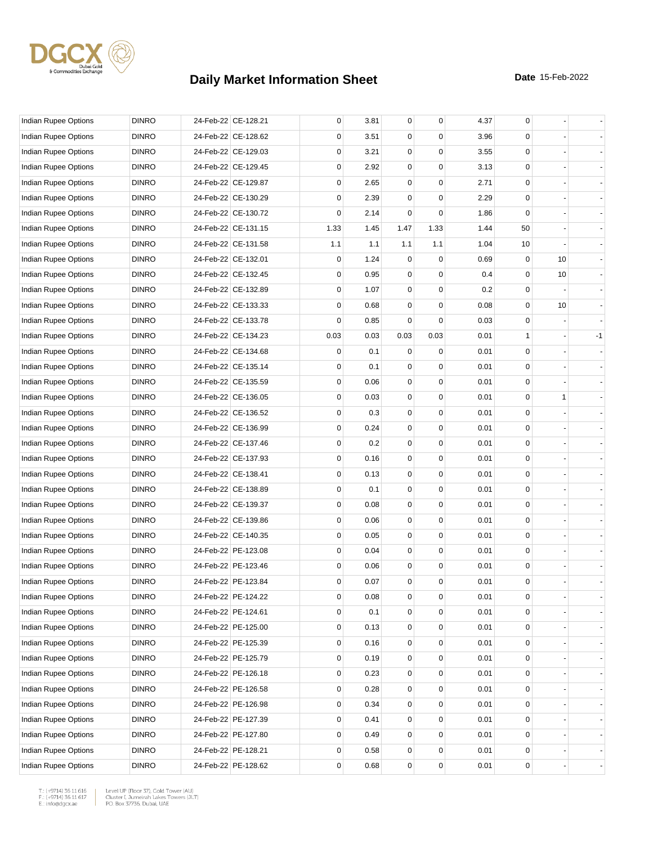

| Indian Rupee Options        | <b>DINRO</b> | 24-Feb-22 CE-128.21 | 0           | 3.81 | $\overline{0}$ | 0           | 4.37 | 0            |    |      |
|-----------------------------|--------------|---------------------|-------------|------|----------------|-------------|------|--------------|----|------|
| Indian Rupee Options        | <b>DINRO</b> | 24-Feb-22 CE-128.62 | 0           | 3.51 | 0              | $\Omega$    | 3.96 | 0            |    |      |
| Indian Rupee Options        | <b>DINRO</b> | 24-Feb-22 CE-129.03 | 0           | 3.21 | 0              | 0           | 3.55 | $\mathbf 0$  |    |      |
| Indian Rupee Options        | <b>DINRO</b> | 24-Feb-22 CE-129.45 | 0           | 2.92 | 0              | 0           | 3.13 | $\mathbf 0$  |    |      |
| Indian Rupee Options        | <b>DINRO</b> | 24-Feb-22 CE-129.87 | 0           | 2.65 | 0              | 0           | 2.71 | $\mathbf 0$  |    |      |
| Indian Rupee Options        | <b>DINRO</b> | 24-Feb-22 CE-130.29 | 0           | 2.39 | 0              | $\mathbf 0$ | 2.29 | $\mathbf 0$  |    |      |
| Indian Rupee Options        | <b>DINRO</b> | 24-Feb-22 CE-130.72 | 0           | 2.14 | $\Omega$       | 0           | 1.86 | $\Omega$     |    |      |
| Indian Rupee Options        | <b>DINRO</b> | 24-Feb-22 CE-131.15 | 1.33        | 1.45 | 1.47           | 1.33        | 1.44 | 50           |    |      |
| Indian Rupee Options        | <b>DINRO</b> | 24-Feb-22 CE-131.58 | 1.1         | 1.1  | 1.1            | 1.1         | 1.04 | 10           |    |      |
| Indian Rupee Options        | <b>DINRO</b> | 24-Feb-22 CE-132.01 | 0           | 1.24 | $\mathbf 0$    | $\mathbf 0$ | 0.69 | $\mathbf 0$  | 10 |      |
| Indian Rupee Options        | <b>DINRO</b> | 24-Feb-22 CE-132.45 | 0           | 0.95 | 0              | $\mathbf 0$ | 0.4  | $\mathbf 0$  | 10 |      |
| Indian Rupee Options        | <b>DINRO</b> | 24-Feb-22 CE-132.89 | 0           | 1.07 | 0              | 0           | 0.2  | 0            |    |      |
| Indian Rupee Options        | <b>DINRO</b> | 24-Feb-22 CE-133.33 | 0           | 0.68 | 0              | 0           | 0.08 | $\mathbf 0$  | 10 |      |
| Indian Rupee Options        | <b>DINRO</b> | 24-Feb-22 CE-133.78 | 0           | 0.85 | 0              | 0           | 0.03 | $\mathbf 0$  |    |      |
| Indian Rupee Options        | <b>DINRO</b> | 24-Feb-22 CE-134.23 | 0.03        | 0.03 | 0.03           | 0.03        | 0.01 | $\mathbf{1}$ |    | $-1$ |
| <b>Indian Rupee Options</b> | <b>DINRO</b> | 24-Feb-22 CE-134.68 | 0           | 0.1  | 0              | 0           | 0.01 | $\mathbf 0$  |    |      |
| <b>Indian Rupee Options</b> | <b>DINRO</b> | 24-Feb-22 CE-135.14 | 0           | 0.1  | 0              | 0           | 0.01 | 0            |    |      |
| Indian Rupee Options        | <b>DINRO</b> | 24-Feb-22 CE-135.59 | 0           | 0.06 | 0              | 0           | 0.01 | $\mathbf 0$  |    |      |
| <b>Indian Rupee Options</b> | <b>DINRO</b> | 24-Feb-22 CE-136.05 | $\mathbf 0$ | 0.03 | 0              | $\mathbf 0$ | 0.01 | $\mathbf 0$  | 1  |      |
| Indian Rupee Options        | <b>DINRO</b> | 24-Feb-22 CE-136.52 | 0           | 0.3  | 0              | 0           | 0.01 | $\mathbf 0$  |    |      |
| Indian Rupee Options        | <b>DINRO</b> | 24-Feb-22 CE-136.99 | 0           | 0.24 | 0              | $\mathbf 0$ | 0.01 | $\mathbf 0$  |    |      |
| Indian Rupee Options        | <b>DINRO</b> | 24-Feb-22 CE-137.46 | 0           | 0.2  | 0              | 0           | 0.01 | 0            |    |      |
| Indian Rupee Options        | <b>DINRO</b> | 24-Feb-22 CE-137.93 | 0           | 0.16 | 0              | 0           | 0.01 | $\mathbf 0$  |    |      |
| Indian Rupee Options        | <b>DINRO</b> | 24-Feb-22 CE-138.41 | 0           | 0.13 | 0              | 0           | 0.01 | $\mathbf 0$  |    |      |
| Indian Rupee Options        | <b>DINRO</b> | 24-Feb-22 CE-138.89 | 0           | 0.1  | 0              | 0           | 0.01 | $\mathbf 0$  |    |      |
| Indian Rupee Options        | <b>DINRO</b> | 24-Feb-22 CE-139.37 | 0           | 0.08 | 0              | 0           | 0.01 | $\mathbf 0$  |    |      |
| Indian Rupee Options        | <b>DINRO</b> | 24-Feb-22 CE-139.86 | 0           | 0.06 | 0              | 0           | 0.01 | 0            |    |      |
| Indian Rupee Options        | <b>DINRO</b> | 24-Feb-22 CE-140.35 | 0           | 0.05 | 0              | 0           | 0.01 | $\mathbf 0$  |    |      |
| Indian Rupee Options        | <b>DINRO</b> | 24-Feb-22 PE-123.08 | 0           | 0.04 | 0              | 0           | 0.01 | $\mathbf 0$  |    |      |
| Indian Rupee Options        | <b>DINRO</b> | 24-Feb-22 PE-123.46 | 0           | 0.06 | 0              | 0           | 0.01 | $\mathbf 0$  |    |      |
| Indian Rupee Options        | <b>DINRO</b> | 24-Feb-22 PE-123.84 | 0           | 0.07 | $\overline{0}$ | 0           | 0.01 | $\mathbf 0$  |    |      |
| Indian Rupee Options        | <b>DINRO</b> | 24-Feb-22 PE-124.22 | 0           | 0.08 | 0              | 0           | 0.01 | 0            |    |      |
| Indian Rupee Options        | <b>DINRO</b> | 24-Feb-22 PE-124.61 | 0           | 0.1  | $\overline{0}$ | 0           | 0.01 | $\mathbf 0$  |    |      |
| Indian Rupee Options        | <b>DINRO</b> | 24-Feb-22 PE-125.00 | 0           | 0.13 | 0              | 0           | 0.01 | 0            |    |      |
| Indian Rupee Options        | <b>DINRO</b> | 24-Feb-22 PE-125.39 | 0           | 0.16 | 0              | 0           | 0.01 | $\mathbf 0$  |    |      |
| Indian Rupee Options        | <b>DINRO</b> | 24-Feb-22 PE-125.79 | 0           | 0.19 | 0              | 0           | 0.01 | 0            |    |      |
| Indian Rupee Options        | <b>DINRO</b> | 24-Feb-22 PE-126.18 | 0           | 0.23 | 0              | 0           | 0.01 | 0            |    |      |
| Indian Rupee Options        | <b>DINRO</b> | 24-Feb-22 PE-126.58 | 0           | 0.28 | 0              | 0           | 0.01 | 0            |    |      |
| Indian Rupee Options        | <b>DINRO</b> | 24-Feb-22 PE-126.98 | 0           | 0.34 | 0              | 0           | 0.01 | 0            |    |      |
| Indian Rupee Options        | <b>DINRO</b> | 24-Feb-22 PE-127.39 | 0           | 0.41 | 0              | 0           | 0.01 | $\mathbf 0$  |    |      |
| Indian Rupee Options        | <b>DINRO</b> | 24-Feb-22 PE-127.80 | 0           | 0.49 | 0              | 0           | 0.01 | $\mathbf 0$  |    |      |
| Indian Rupee Options        | <b>DINRO</b> | 24-Feb-22 PE-128.21 | 0           | 0.58 | 0              | 0           | 0.01 | 0            |    |      |
| Indian Rupee Options        | <b>DINRO</b> | 24-Feb-22 PE-128.62 | 0           | 0.68 | 0              | 0           | 0.01 | 0            |    |      |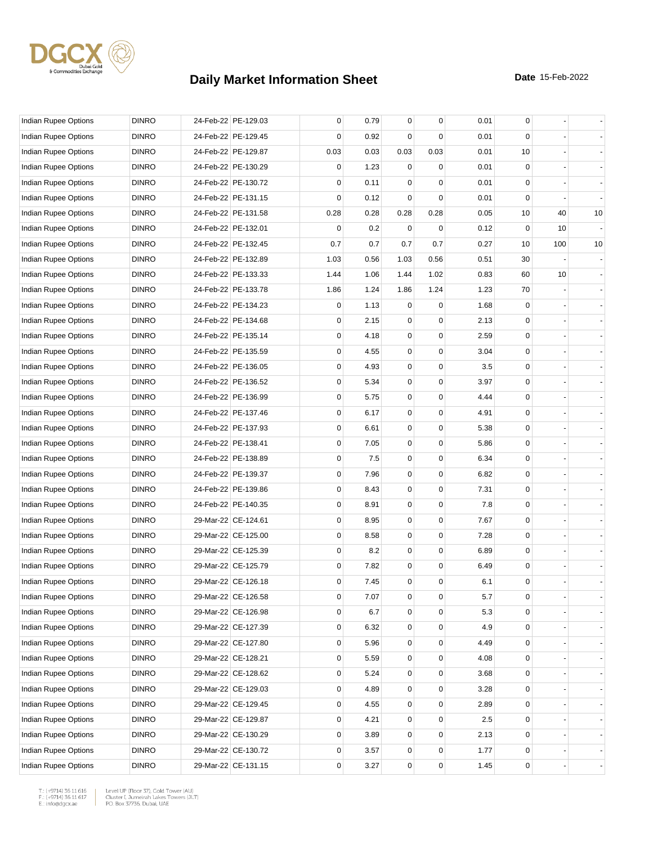

| Indian Rupee Options        | <b>DINRO</b> | 24-Feb-22 PE-129.03 | 0           | 0.79 | $\mathbf{0}$   | 0           | 0.01 | 0            |     |    |
|-----------------------------|--------------|---------------------|-------------|------|----------------|-------------|------|--------------|-----|----|
| Indian Rupee Options        | <b>DINRO</b> | 24-Feb-22 PE-129.45 | 0           | 0.92 | $\Omega$       | $\Omega$    | 0.01 | $\Omega$     |     |    |
| <b>Indian Rupee Options</b> | <b>DINRO</b> | 24-Feb-22 PE-129.87 | 0.03        | 0.03 | 0.03           | 0.03        | 0.01 | 10           |     |    |
| Indian Rupee Options        | <b>DINRO</b> | 24-Feb-22 PE-130.29 | 0           | 1.23 | 0              | 0           | 0.01 | $\mathbf 0$  |     |    |
| Indian Rupee Options        | <b>DINRO</b> | 24-Feb-22 PE-130.72 | 0           | 0.11 | 0              | 0           | 0.01 | $\mathbf 0$  |     |    |
| Indian Rupee Options        | <b>DINRO</b> | 24-Feb-22 PE-131.15 | $\mathbf 0$ | 0.12 | 0              | $\mathbf 0$ | 0.01 | $\mathbf 0$  |     |    |
| Indian Rupee Options        | <b>DINRO</b> | 24-Feb-22 PE-131.58 | 0.28        | 0.28 | 0.28           | 0.28        | 0.05 | 10           | 40  | 10 |
| <b>Indian Rupee Options</b> | <b>DINRO</b> | 24-Feb-22 PE-132.01 | 0           | 0.2  | $\Omega$       | 0           | 0.12 | $\mathbf 0$  | 10  |    |
| Indian Rupee Options        | <b>DINRO</b> | 24-Feb-22 PE-132.45 | 0.7         | 0.7  | 0.7            | 0.7         | 0.27 | 10           | 100 | 10 |
| Indian Rupee Options        | <b>DINRO</b> | 24-Feb-22 PE-132.89 | 1.03        | 0.56 | 1.03           | 0.56        | 0.51 | 30           |     |    |
| Indian Rupee Options        | <b>DINRO</b> | 24-Feb-22 PE-133.33 | 1.44        | 1.06 | 1.44           | 1.02        | 0.83 | 60           | 10  |    |
| Indian Rupee Options        | <b>DINRO</b> | 24-Feb-22 PE-133.78 | 1.86        | 1.24 | 1.86           | 1.24        | 1.23 | 70           |     |    |
| Indian Rupee Options        | <b>DINRO</b> | 24-Feb-22 PE-134.23 | 0           | 1.13 | 0              | 0           | 1.68 | $\mathbf 0$  |     |    |
| Indian Rupee Options        | <b>DINRO</b> | 24-Feb-22 PE-134.68 | 0           | 2.15 | 0              | $\mathbf 0$ | 2.13 | $\mathbf 0$  |     |    |
| Indian Rupee Options        | <b>DINRO</b> | 24-Feb-22 PE-135.14 | 0           | 4.18 | 0              | 0           | 2.59 | $\mathbf 0$  |     |    |
| Indian Rupee Options        | <b>DINRO</b> | 24-Feb-22 PE-135.59 | 0           | 4.55 | 0              | $\mathbf 0$ | 3.04 | $\mathbf 0$  |     |    |
| <b>Indian Rupee Options</b> | <b>DINRO</b> | 24-Feb-22 PE-136.05 | 0           | 4.93 | 0              | 0           | 3.5  | 0            |     |    |
| <b>Indian Rupee Options</b> | <b>DINRO</b> | 24-Feb-22 PE-136.52 | 0           | 5.34 | 0              | 0           | 3.97 | $\mathbf 0$  |     |    |
| Indian Rupee Options        | <b>DINRO</b> | 24-Feb-22 PE-136.99 | 0           | 5.75 | 0              | 0           | 4.44 | $\mathbf 0$  |     |    |
| <b>Indian Rupee Options</b> | <b>DINRO</b> | 24-Feb-22 PE-137.46 | 0           | 6.17 | 0              | 0           | 4.91 | $\mathbf 0$  |     |    |
| Indian Rupee Options        | <b>DINRO</b> | 24-Feb-22 PE-137.93 | 0           | 6.61 | 0              | $\mathbf 0$ | 5.38 | $\mathbf 0$  |     |    |
| Indian Rupee Options        | <b>DINRO</b> | 24-Feb-22 PE-138.41 | 0           | 7.05 | 0              | 0           | 5.86 | 0            |     |    |
| Indian Rupee Options        | <b>DINRO</b> | 24-Feb-22 PE-138.89 | 0           | 7.5  | 0              | 0           | 6.34 | $\mathbf 0$  |     |    |
| Indian Rupee Options        | <b>DINRO</b> | 24-Feb-22 PE-139.37 | 0           | 7.96 | 0              | 0           | 6.82 | $\mathbf 0$  |     |    |
| Indian Rupee Options        | <b>DINRO</b> | 24-Feb-22 PE-139.86 | 0           | 8.43 | 0              | 0           | 7.31 | $\mathbf 0$  |     |    |
| Indian Rupee Options        | <b>DINRO</b> | 24-Feb-22 PE-140.35 | 0           | 8.91 | 0              | $\mathbf 0$ | 7.8  | $\mathbf 0$  |     |    |
| Indian Rupee Options        | <b>DINRO</b> | 29-Mar-22 CE-124.61 | 0           | 8.95 | 0              | 0           | 7.67 | $\mathbf 0$  |     |    |
| <b>Indian Rupee Options</b> | <b>DINRO</b> | 29-Mar-22 CE-125.00 | 0           | 8.58 | 0              | 0           | 7.28 | $\mathbf 0$  |     |    |
| Indian Rupee Options        | <b>DINRO</b> | 29-Mar-22 CE-125.39 | 0           | 8.2  | 0              | 0           | 6.89 | $\mathbf 0$  |     |    |
| <b>Indian Rupee Options</b> | <b>DINRO</b> | 29-Mar-22 CE-125.79 | 0           | 7.82 | 0              | 0           | 6.49 | $\mathbf 0$  |     |    |
| Indian Rupee Options        | <b>DINRO</b> | 29-Mar-22 CE-126.18 | 0           | 7.45 | $\overline{0}$ | $\mathbf 0$ | 6.1  | $\mathbf 0$  |     |    |
| Indian Rupee Options        | <b>DINRO</b> | 29-Mar-22 CE-126.58 | 0           | 7.07 | 0              | 0           | 5.7  | 0            |     |    |
| Indian Rupee Options        | <b>DINRO</b> | 29-Mar-22 CE-126.98 | 0           | 6.7  | 0              | 0           | 5.3  | $\mathbf 0$  |     |    |
| Indian Rupee Options        | <b>DINRO</b> | 29-Mar-22 CE-127.39 | 0           | 6.32 | 0              | 0           | 4.9  | 0            |     |    |
| Indian Rupee Options        | <b>DINRO</b> | 29-Mar-22 CE-127.80 | 0           | 5.96 | 0              | 0           | 4.49 | $\mathbf{0}$ |     |    |
| Indian Rupee Options        | <b>DINRO</b> | 29-Mar-22 CE-128.21 | 0           | 5.59 | 0              | 0           | 4.08 | 0            |     |    |
| Indian Rupee Options        | <b>DINRO</b> | 29-Mar-22 CE-128.62 | 0           | 5.24 | 0              | 0           | 3.68 | 0            |     |    |
| Indian Rupee Options        | <b>DINRO</b> | 29-Mar-22 CE-129.03 | 0           | 4.89 | 0              | 0           | 3.28 | 0            |     |    |
| Indian Rupee Options        | <b>DINRO</b> | 29-Mar-22 CE-129.45 | 0           | 4.55 | 0              | 0           | 2.89 | 0            |     |    |
| Indian Rupee Options        | <b>DINRO</b> | 29-Mar-22 CE-129.87 | 0           | 4.21 | 0              | 0           | 2.5  | $\mathbf 0$  |     |    |
| Indian Rupee Options        | <b>DINRO</b> | 29-Mar-22 CE-130.29 | 0           | 3.89 | 0              | 0           | 2.13 | $\mathbf 0$  |     |    |
| Indian Rupee Options        | <b>DINRO</b> | 29-Mar-22 CE-130.72 | 0           | 3.57 | 0              | 0           | 1.77 | 0            |     |    |
| Indian Rupee Options        | <b>DINRO</b> | 29-Mar-22 CE-131.15 | 0           | 3.27 | 0              | 0           | 1.45 | 0            |     |    |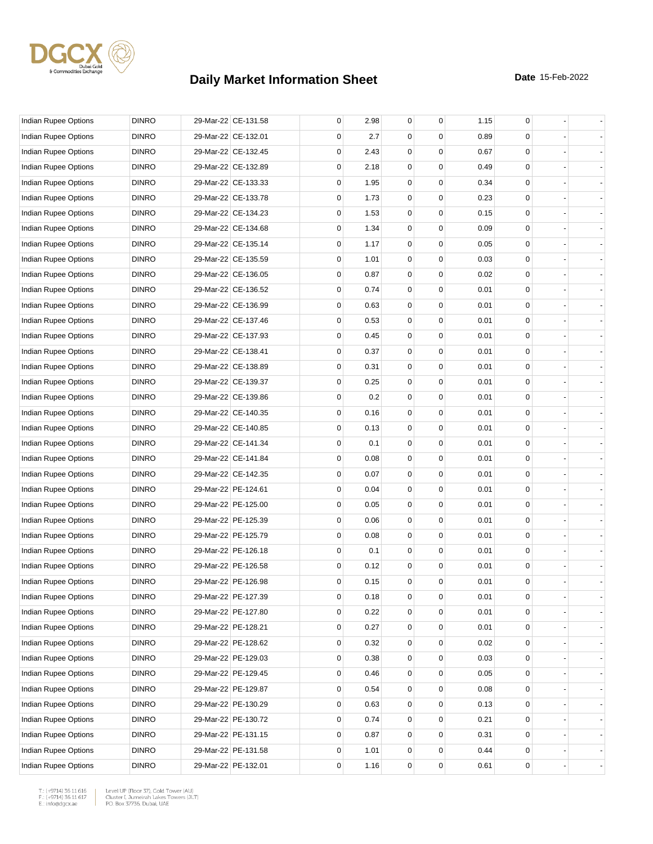

| Indian Rupee Options        | <b>DINRO</b> | 29-Mar-22 CE-131.58 | 0           | 2.98 | $\mathbf 0$ | $\mathbf 0$ | 1.15 | 0 |  |
|-----------------------------|--------------|---------------------|-------------|------|-------------|-------------|------|---|--|
| Indian Rupee Options        | <b>DINRO</b> | 29-Mar-22 CE-132.01 | 0           | 2.7  | 0           | 0           | 0.89 | 0 |  |
| Indian Rupee Options        | <b>DINRO</b> | 29-Mar-22 CE-132.45 | 0           | 2.43 | 0           | $\mathbf 0$ | 0.67 | 0 |  |
| Indian Rupee Options        | <b>DINRO</b> | 29-Mar-22 CE-132.89 | $\mathbf 0$ | 2.18 | 0           | $\mathbf 0$ | 0.49 | 0 |  |
| <b>Indian Rupee Options</b> | <b>DINRO</b> | 29-Mar-22 CE-133.33 | 0           | 1.95 | 0           | $\mathbf 0$ | 0.34 | 0 |  |
| Indian Rupee Options        | <b>DINRO</b> | 29-Mar-22 CE-133.78 | $\mathbf 0$ | 1.73 | $\mathbf 0$ | $\mathbf 0$ | 0.23 | 0 |  |
| Indian Rupee Options        | <b>DINRO</b> | 29-Mar-22 CE-134.23 | 0           | 1.53 | 0           | 0           | 0.15 | 0 |  |
| <b>Indian Rupee Options</b> | <b>DINRO</b> | 29-Mar-22 CE-134.68 | 0           | 1.34 | 0           | $\mathbf 0$ | 0.09 | 0 |  |
| Indian Rupee Options        | <b>DINRO</b> | 29-Mar-22 CE-135.14 | $\mathbf 0$ | 1.17 | 0           | $\mathbf 0$ | 0.05 | 0 |  |
| Indian Rupee Options        | <b>DINRO</b> | 29-Mar-22 CE-135.59 | 0           | 1.01 | $\mathbf 0$ | $\mathbf 0$ | 0.03 | 0 |  |
| Indian Rupee Options        | <b>DINRO</b> | 29-Mar-22 CE-136.05 | 0           | 0.87 | $\mathbf 0$ | $\mathbf 0$ | 0.02 | 0 |  |
| Indian Rupee Options        | <b>DINRO</b> | 29-Mar-22 CE-136.52 | 0           | 0.74 | 0           | 0           | 0.01 | 0 |  |
| Indian Rupee Options        | <b>DINRO</b> | 29-Mar-22 CE-136.99 | 0           | 0.63 | 0           | 0           | 0.01 | 0 |  |
| Indian Rupee Options        | <b>DINRO</b> | 29-Mar-22 CE-137.46 | $\mathbf 0$ | 0.53 | 0           | 0           | 0.01 | 0 |  |
| Indian Rupee Options        | <b>DINRO</b> | 29-Mar-22 CE-137.93 | 0           | 0.45 | $\mathbf 0$ | $\mathbf 0$ | 0.01 | 0 |  |
| Indian Rupee Options        | <b>DINRO</b> | 29-Mar-22 CE-138.41 | 0           | 0.37 | $\mathbf 0$ | $\mathbf 0$ | 0.01 | 0 |  |
| <b>Indian Rupee Options</b> | <b>DINRO</b> | 29-Mar-22 CE-138.89 | 0           | 0.31 | 0           | 0           | 0.01 | 0 |  |
| Indian Rupee Options        | <b>DINRO</b> | 29-Mar-22 CE-139.37 | 0           | 0.25 | 0           | $\mathbf 0$ | 0.01 | 0 |  |
| <b>Indian Rupee Options</b> | <b>DINRO</b> | 29-Mar-22 CE-139.86 | $\mathbf 0$ | 0.2  | 0           | $\mathbf 0$ | 0.01 | 0 |  |
| <b>Indian Rupee Options</b> | <b>DINRO</b> | 29-Mar-22 CE-140.35 | 0           | 0.16 | 0           | $\mathbf 0$ | 0.01 | 0 |  |
| Indian Rupee Options        | <b>DINRO</b> | 29-Mar-22 CE-140.85 | $\mathbf 0$ | 0.13 | $\mathbf 0$ | $\mathbf 0$ | 0.01 | 0 |  |
| Indian Rupee Options        | <b>DINRO</b> | 29-Mar-22 CE-141.34 | 0           | 0.1  | 0           | 0           | 0.01 | 0 |  |
| Indian Rupee Options        | <b>DINRO</b> | 29-Mar-22 CE-141.84 | 0           | 0.08 | 0           | $\mathbf 0$ | 0.01 | 0 |  |
| Indian Rupee Options        | <b>DINRO</b> | 29-Mar-22 CE-142.35 | $\mathbf 0$ | 0.07 | 0           | $\mathbf 0$ | 0.01 | 0 |  |
| Indian Rupee Options        | <b>DINRO</b> | 29-Mar-22 PE-124.61 | 0           | 0.04 | 0           | $\mathbf 0$ | 0.01 | 0 |  |
| Indian Rupee Options        | <b>DINRO</b> | 29-Mar-22 PE-125.00 | $\mathbf 0$ | 0.05 | $\mathbf 0$ | $\mathbf 0$ | 0.01 | 0 |  |
| Indian Rupee Options        | <b>DINRO</b> | 29-Mar-22 PE-125.39 | 0           | 0.06 | 0           | 0           | 0.01 | 0 |  |
| <b>Indian Rupee Options</b> | <b>DINRO</b> | 29-Mar-22 PE-125.79 | 0           | 0.08 | 0           | $\mathbf 0$ | 0.01 | 0 |  |
| Indian Rupee Options        | <b>DINRO</b> | 29-Mar-22 PE-126.18 | $\mathbf 0$ | 0.1  | 0           | $\mathbf 0$ | 0.01 | 0 |  |
| <b>Indian Rupee Options</b> | <b>DINRO</b> | 29-Mar-22 PE-126.58 | 0           | 0.12 | 0           | 0           | 0.01 | 0 |  |
| Indian Rupee Options        | <b>DINRO</b> | 29-Mar-22 PE-126.98 | 0           | 0.15 | $\mathbf 0$ | $\mathbf 0$ | 0.01 | 0 |  |
| Indian Rupee Options        | <b>DINRO</b> | 29-Mar-22 PE-127.39 | 0           | 0.18 | 0           | 0           | 0.01 | 0 |  |
| Indian Rupee Options        | <b>DINRO</b> | 29-Mar-22 PE-127.80 | 0           | 0.22 | 0           | 0           | 0.01 | 0 |  |
| Indian Rupee Options        | <b>DINRO</b> | 29-Mar-22 PE-128.21 | 0           | 0.27 | 0           | 0           | 0.01 | 0 |  |
| Indian Rupee Options        | <b>DINRO</b> | 29-Mar-22 PE-128.62 | 0           | 0.32 | 0           | 0           | 0.02 | 0 |  |
| Indian Rupee Options        | <b>DINRO</b> | 29-Mar-22 PE-129.03 | 0           | 0.38 | 0           | 0           | 0.03 | 0 |  |
| Indian Rupee Options        | <b>DINRO</b> | 29-Mar-22 PE-129.45 | 0           | 0.46 | 0           | 0           | 0.05 | 0 |  |
| Indian Rupee Options        | <b>DINRO</b> | 29-Mar-22 PE-129.87 | 0           | 0.54 | 0           | 0           | 0.08 | 0 |  |
| <b>Indian Rupee Options</b> | <b>DINRO</b> | 29-Mar-22 PE-130.29 | 0           | 0.63 | 0           | 0           | 0.13 | 0 |  |
| Indian Rupee Options        | <b>DINRO</b> | 29-Mar-22 PE-130.72 | 0           | 0.74 | 0           | 0           | 0.21 | 0 |  |
| Indian Rupee Options        | <b>DINRO</b> | 29-Mar-22 PE-131.15 | 0           | 0.87 | 0           | $\mathbf 0$ | 0.31 | 0 |  |
| Indian Rupee Options        | <b>DINRO</b> | 29-Mar-22 PE-131.58 | 0           | 1.01 | 0           | 0           | 0.44 | 0 |  |
| Indian Rupee Options        | <b>DINRO</b> | 29-Mar-22 PE-132.01 | 0           | 1.16 | 0           | 0           | 0.61 | 0 |  |